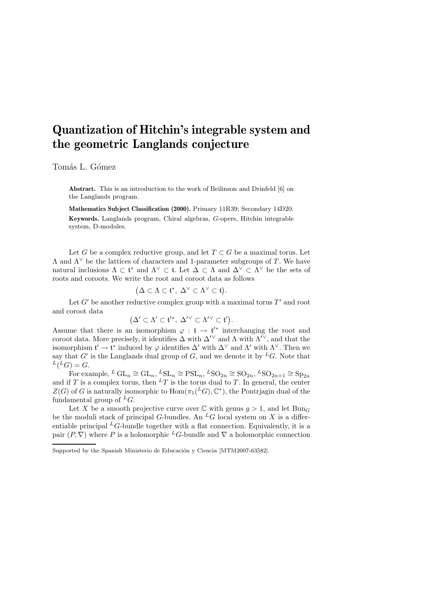# Quantization of Hitchin's integrable system and the geometric Langlands conjecture

Tomás L. Gómez

Abstract. This is an introduction to the work of Beilinson and Drinfeld [6] on the Langlands program.

Mathematics Subject Classification (2000). Primary 11R39; Secondary 14D20. Keywords. Langlands program, Chiral algebras, G-opers, Hitchin integrable system, D-modules.

Let G be a complex reductive group, and let  $T \subset G$  be a maximal torus. Let  $\Lambda$  and  $\Lambda^{\vee}$  be the lattices of characters and 1-parameter subgroups of T. We have natural inclusions  $\Lambda \subset \mathfrak{t}^*$  and  $\Lambda^{\vee} \subset \mathfrak{t}$ . Let  $\Delta \subset \Lambda$  and  $\Delta^{\vee} \subset \Lambda^{\vee}$  be the sets of roots and coroots. We write the root and coroot data as follows

$$
(\Delta \subset \Lambda \subset \mathfrak{t}^*, \ \Delta^{\vee} \subset \Lambda^{\vee} \subset \mathfrak{t}).
$$

Let  $G'$  be another reductive complex group with a maximal torus  $T'$  and root and coroot data

$$
(\Delta' \subset \Lambda' \subset \mathfrak{t}'^*, \ \Delta'^\vee \subset \Lambda'^\vee \subset \mathfrak{t}').
$$

Assume that there is an isomorphism  $\varphi : \mathfrak{t} \to \mathfrak{t}'^*$  interchanging the root and coroot data. More precisely, it identifies  $\Delta$  with  $\Delta^{\prime\vee}$  and  $\Lambda$  with  $\Lambda^{\prime\vee}$ , and that the isomorphism  $\mathfrak{t}' \to \mathfrak{t}^*$  induced by  $\varphi$  identifies  $\Delta'$  with  $\Delta^{\vee}$  and  $\Lambda'$  with  $\Lambda^{\vee}$ . Then we say that  $G'$  is the Langlands dual group of  $G$ , and we denote it by <sup>L</sup>G. Note that  $L(LG) = G.$ 

For example,  $^L G L_n \cong GL_n$ ,  $^L SL_n \cong \text{PSL}_n$ ,  $^L SO_{2n} \cong SO_{2n}$ ,  $^L SO_{2n+1} \cong Sp_{2n}$ and if T is a complex torus, then  ${}^L T$  is the torus dual to T. In general, the center  $Z(G)$  of G is naturally isomorphic to  $\text{Hom}(\pi_1(L^G), \mathbb{C}^*)$ , the Pontrjagin dual of the fundamental group of  ${}^L G$ .

Let X be a smooth projective curve over  $\mathbb C$  with genus  $g > 1$ , and let  $Bun_G$ be the moduli stack of principal G-bundles. An  ${}^L G$  local system on X is a differentiable principal  ${}^L G$ -bundle together with a flat connection. Equivalently, it is a pair  $(P, \nabla)$  where P is a holomorphic LG-bundle and  $\nabla$  a holomorphic connection

Supported by the Spanish Ministerio de Educación y Ciencia [MTM2007-63582].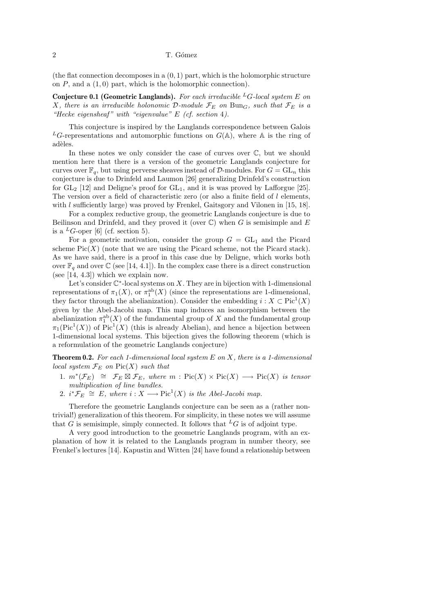(the flat connection decomposes in a  $(0, 1)$  part, which is the holomorphic structure on  $P$ , and a  $(1, 0)$  part, which is the holomorphic connection).

**Conjecture 0.1 (Geometric Langlands).** For each irreducible <sup>L</sup>G-local system E on X, there is an irreducible holonomic D-module  $\mathcal{F}_E$  on Bun<sub>G</sub>, such that  $\mathcal{F}_E$  is a "Hecke eigensheaf" with "eigenvalue"  $E$  (cf. section 4).

This conjecture is inspired by the Langlands correspondence between Galois <sup>L</sup>G-representations and automorphic functions on  $G(A)$ , where A is the ring of adèles.

In these notes we only consider the case of curves over  $\mathbb{C}$ , but we should mention here that there is a version of the geometric Langlands conjecture for curves over  $\mathbb{F}_q$ , but using perverse sheaves instead of D-modules. For  $G = GL_n$  this conjecture is due to Drinfeld and Laumon [26] generalizing Drinfeld's construction for  $GL_2$  [12] and Deligne's proof for  $GL_1$ , and it is was proved by Lafforgue [25]. The version over a field of characteristic zero (or also a finite field of  $l$  elements, with  $l$  sufficiently large) was proved by Frenkel, Gaitsgory and Vilonen in [15, 18].

For a complex reductive group, the geometric Langlands conjecture is due to Beilinson and Drinfeld, and they proved it (over  $\mathbb C$ ) when G is semisimple and E is a  ${}^L G$ -oper [6] (cf. section 5).

For a geometric motivation, consider the group  $G = GL_1$  and the Picard scheme  $Pic(X)$  (note that we are using the Picard scheme, not the Picard stack). As we have said, there is a proof in this case due by Deligne, which works both over  $\mathbb{F}_q$  and over  $\mathbb{C}$  (see [14, 4.1]). In the complex case there is a direct construction (see [14, 4.3]) which we explain now.

Let's consider  $\mathbb{C}^*$ -local systems on X. They are in bijection with 1-dimensional representations of  $\pi_1(X)$ , or  $\pi_1^{\text{ab}}(X)$  (since the representations are 1-dimensional, they factor through the abelianization). Consider the embedding  $i : X \subset Pic<sup>1</sup>(X)$ given by the Abel-Jacobi map. This map induces an isomorphism between the abelianization  $\pi_1^{\text{ab}}(X)$  of the fundamental group of X and the fundamental group  $\pi_1(\text{Pic}^1(X))$  of  $\text{Pic}^1(X)$  (this is already Abelian), and hence a bijection between 1-dimensional local systems. This bijection gives the following theorem (which is a reformulation of the geometric Langlands conjecture)

**Theorem 0.2.** For each 1-dimensional local system  $E$  on  $X$ , there is a 1-dimensional local system  $\mathcal{F}_E$  on  $Pic(X)$  such that

- 1.  $m^*(\mathcal{F}_E) \cong \mathcal{F}_E \boxtimes \mathcal{F}_E$ , where  $m : Pic(X) \times Pic(X) \longrightarrow Pic(X)$  is tensor multiplication of line bundles.
- 2.  $i^* \mathcal{F}_E \cong E$ , where  $i : X \longrightarrow Pic^1(X)$  is the Abel-Jacobi map.

Therefore the geometric Langlands conjecture can be seen as a (rather nontrivial!) generalization of this theorem. For simplicity, in these notes we will assume that G is semisimple, simply connected. It follows that  ${}^L G$  is of adjoint type.

A very good introduction to the geometric Langlands program, with an explanation of how it is related to the Langlands program in number theory, see Frenkel's lectures [14]. Kapustin and Witten [24] have found a relationship between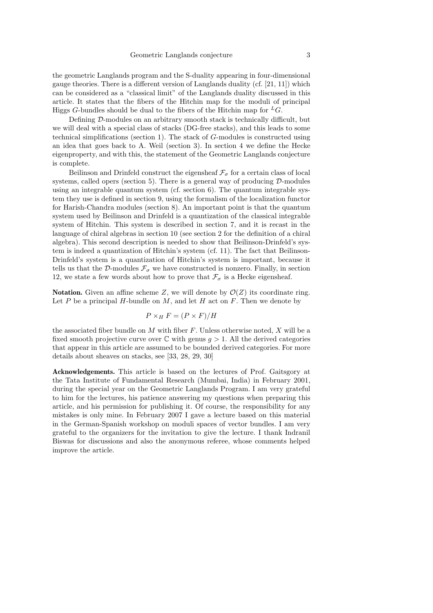the geometric Langlands program and the S-duality appearing in four-dimensional gauge theories. There is a different version of Langlands duality (cf. [21, 11]) which can be considered as a "classical limit" of the Langlands duality discussed in this article. It states that the fibers of the Hitchin map for the moduli of principal Higgs G-bundles should be dual to the fibers of the Hitchin map for  ${}^L G$ .

Defining D-modules on an arbitrary smooth stack is technically difficult, but we will deal with a special class of stacks (DG-free stacks), and this leads to some technical simplifications (section 1). The stack of G-modules is constructed using an idea that goes back to A. Weil (section 3). In section 4 we define the Hecke eigenproperty, and with this, the statement of the Geometric Langlands conjecture is complete.

Beilinson and Drinfeld construct the eigensheaf  $\mathcal{F}_{\sigma}$  for a certain class of local systems, called opers (section 5). There is a general way of producing  $\mathcal{D}\text{-modules}$ using an integrable quantum system (cf. section  $6$ ). The quantum integrable system they use is defined in section 9, using the formalism of the localization functor for Harish-Chandra modules (section 8). An important point is that the quantum system used by Beilinson and Drinfeld is a quantization of the classical integrable system of Hitchin. This system is described in section 7, and it is recast in the language of chiral algebras in section 10 (see section 2 for the definition of a chiral algebra). This second description is needed to show that Beilinson-Drinfeld's system is indeed a quantization of Hitchin's system (cf. 11). The fact that Beilinson-Drinfeld's system is a quantization of Hitchin's system is important, because it tells us that the  $\mathcal D\text{-modules}\; \mathcal F_{\sigma}$  we have constructed is nonzero. Finally, in section 12, we state a few words about how to prove that  $\mathcal{F}_{\sigma}$  is a Hecke eigensheaf.

**Notation.** Given an affine scheme Z, we will denote by  $\mathcal{O}(Z)$  its coordinate ring. Let  $P$  be a principal  $H$ -bundle on  $M$ , and let  $H$  act on  $F$ . Then we denote by

$$
P \times_H F = (P \times F)/H
$$

the associated fiber bundle on  $M$  with fiber  $F$ . Unless otherwise noted,  $X$  will be a fixed smooth projective curve over  $\mathbb C$  with genus  $q > 1$ . All the derived categories that appear in this article are assumed to be bounded derived categories. For more details about sheaves on stacks, see [33, 28, 29, 30]

Acknowledgements. This article is based on the lectures of Prof. Gaitsgory at the Tata Institute of Fundamental Research (Mumbai, India) in February 2001, during the special year on the Geometric Langlands Program. I am very grateful to him for the lectures, his patience answering my questions when preparing this article, and his permission for publishing it. Of course, the responsibility for any mistakes is only mine. In February 2007 I gave a lecture based on this material in the German-Spanish workshop on moduli spaces of vector bundles. I am very grateful to the organizers for the invitation to give the lecture. I thank Indranil Biswas for discussions and also the anonymous referee, whose comments helped improve the article.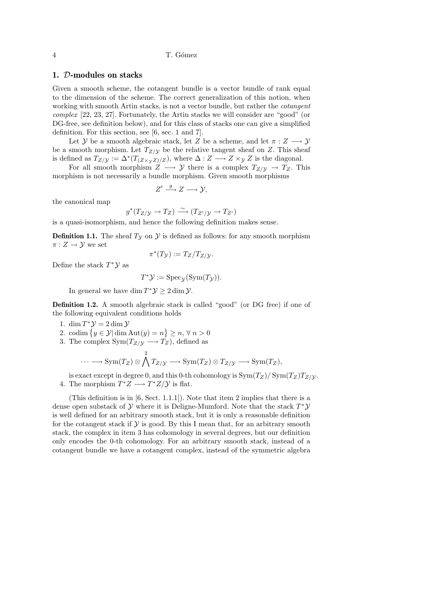4 T. G´omez

## 1. D-modules on stacks

Given a smooth scheme, the cotangent bundle is a vector bundle of rank equal to the dimension of the scheme. The correct generalization of this notion, when working with smooth Artin stacks, is not a vector bundle, but rather the cotangent complex [22, 23, 27]. Fortunately, the Artin stacks we will consider are "good" (or DG-free, see definition below), and for this class of stacks one can give a simplified definition. For this section, see [6, sec. 1 and 7].

Let Y be a smooth algebraic stack, let Z be a scheme, and let  $\pi: Z \longrightarrow Y$ be a smooth morphism. Let  $T_{Z/Y}$  be the relative tangent sheaf on Z. This sheaf is defined as  $T_{Z/\mathcal{Y}} := \Delta^*(T_{(Z\times_{\mathcal{Y}}Z)/Z})$ , where  $\Delta: Z \longrightarrow Z \times_{\mathcal{Y}} Z$  is the diagonal.

For all smooth morphism  $Z \longrightarrow Y$  there is a complex  $T_{Z/Y} \rightarrow T_Z$ . This morphism is not necessarily a bundle morphism. Given smooth morphisms

$$
Z' \stackrel{g}{\longrightarrow} Z \longrightarrow \mathcal{Y},
$$

the canonical map

$$
g^*(T_{Z/\mathcal{Y}} \to T_Z) \xrightarrow{\sim} (T_{Z'/\mathcal{Y}} \to T_{Z'})
$$

is a quasi-isomorphism, and hence the following definition makes sense.

**Definition 1.1.** The sheaf  $T<sub>Y</sub>$  on  $Y$  is defined as follows: for any smooth morphism  $\pi: Z \to Y$  we set

Define the stack 
$$
T^*\mathcal{Y}
$$
 as

$$
\pi^*(T_{\mathcal{Y}}) := T_Z/T_{Z/\mathcal{Y}}.
$$

$$
T^*{\mathcal Y}:=\mathrm{Spec}_{\mathcal Y}(\mathrm{Sym}(T_{\mathcal Y})).
$$

In general we have  $\dim T^* \mathcal{Y} \geq 2 \dim \mathcal{Y}$ .

Definition 1.2. A smooth algebraic stack is called "good" (or DG free) if one of the following equivalent conditions holds

- 1.  $\dim T^* \mathcal{Y} = 2 \dim \mathcal{Y}$
- 2. codim  $\{y \in \mathcal{Y} | \dim \text{Aut}(y) = n\} \ge n, \forall n > 0$
- 3. The complex  $\text{Sym}(T_{Z/\mathcal{Y}} \longrightarrow T_Z)$ , defined as

$$
\cdots \longrightarrow \mathrm{Sym}(T_Z) \otimes \bigwedge^2 T_{Z/\mathcal{Y}} \longrightarrow \mathrm{Sym}(T_Z) \otimes T_{Z/\mathcal{Y}} \longrightarrow \mathrm{Sym}(T_Z),
$$

is exact except in degree 0, and this 0-th cohomology is  $\text{Sym}(T_Z)/\text{Sym}(T_Z)T_{Z/\mathcal{Y}}$ . 4. The morphism  $T^*Z \longrightarrow T^*Z/\mathcal{Y}$  is flat.

(This definition is in [6, Sect. 1.1.1]). Note that item 2 implies that there is a dense open substack of  $\mathcal Y$  where it is Deligne-Mumford. Note that the stack  $T^*\mathcal Y$ is well defined for an arbitrary smooth stack, but it is only a reasonable definition for the cotangent stack if  $\mathcal Y$  is good. By this I mean that, for an arbitrary smooth stack, the complex in item 3 has cohomology in several degrees, but our definition only encodes the 0-th cohomology. For an arbitrary smooth stack, instead of a cotangent bundle we have a cotangent complex, instead of the symmetric algebra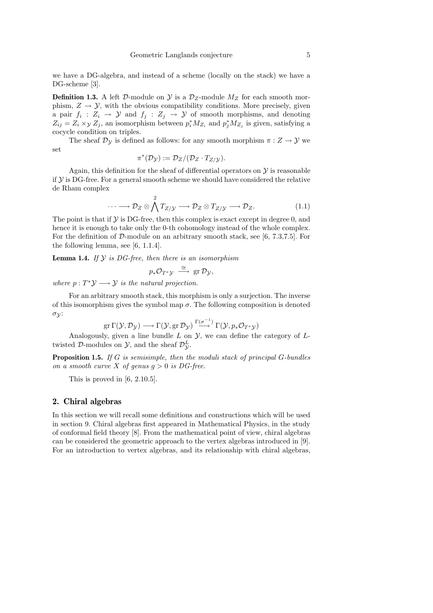we have a DG-algebra, and instead of a scheme (locally on the stack) we have a DG-scheme [3].

**Definition 1.3.** A left D-module on  $\mathcal{Y}$  is a  $\mathcal{D}_Z$ -module  $M_Z$  for each smooth morphism,  $Z \to Y$ , with the obvious compatibility conditions. More precisely, given a pair  $f_i: Z_i \to Y$  and  $f_j: Z_j \to Y$  of smooth morphisms, and denoting  $Z_{ij} = Z_i \times y Z_j$ , an isomorphism between  $p_i^* M_{Z_i}$  and  $p_j^* M_{Z_j}$  is given, satisfying a cocycle condition on triples.

The sheaf  $\mathcal{D}_{\mathcal{Y}}$  is defined as follows: for any smooth morphism  $\pi: Z \to Y$  we set

$$
\pi^*(\mathcal{D}_{\mathcal{Y}}) := \mathcal{D}_Z / (\mathcal{D}_Z \cdot T_{Z/\mathcal{Y}}).
$$

Again, this definition for the sheaf of differential operators on  $\mathcal Y$  is reasonable if  $Y$  is DG-free. For a general smooth scheme we should have considered the relative de Rham complex

$$
\cdots \longrightarrow \mathcal{D}_Z \otimes \bigwedge^2 T_{Z/\mathcal{Y}} \longrightarrow \mathcal{D}_Z \otimes T_{Z/\mathcal{Y}} \longrightarrow \mathcal{D}_Z. \tag{1.1}
$$

The point is that if  $\mathcal Y$  is DG-free, then this complex is exact except in degree 0, and hence it is enough to take only the 0-th cohomology instead of the whole complex. For the definition of D-module on an arbitrary smooth stack, see [6, 7.3,7.5]. For the following lemma, see [6, 1.1.4].

**Lemma 1.4.** If  $Y$  is DG-free, then there is an isomorphism

$$
p_*\mathcal{O}_{T^*\mathcal{Y}} \stackrel{\cong}{\longrightarrow} \text{gr}\,\mathcal{D}_{\mathcal{Y}},
$$

where  $p: T^*\mathcal{Y} \longrightarrow \mathcal{Y}$  is the natural projection.

For an arbitrary smooth stack, this morphism is only a surjection. The inverse of this isomorphism gives the symbol map  $\sigma$ . The following composition is denoted  $\sigma_{\mathcal{V}}$ :

$$
\text{gr}\,\Gamma(\mathcal{Y},\mathcal{D}_{\mathcal{Y}})\longrightarrow\Gamma(\mathcal{Y},\text{gr}\,\mathcal{D}_{\mathcal{Y}})\stackrel{\Gamma(\sigma^{-1})}{\longrightarrow}\Gamma(\mathcal{Y},p_*\mathcal{O}_{T^*\mathcal{Y}})
$$

Analogously, given a line bundle  $L$  on  $\mathcal{Y}$ , we can define the category of  $L$ twisted D-modules on  $\mathcal{Y}$ , and the sheaf  $\mathcal{D}_{\mathcal{Y}}^{L}$ .

**Proposition 1.5.** If G is semisimple, then the moduli stack of principal  $G$ -bundles on a smooth curve X of genus  $q > 0$  is DG-free.

This is proved in  $[6, 2.10.5]$ .

#### 2. Chiral algebras

In this section we will recall some definitions and constructions which will be used in section 9. Chiral algebras first appeared in Mathematical Physics, in the study of conformal field theory [8]. From the mathematical point of view, chiral algebras can be considered the geometric approach to the vertex algebras introduced in [9]. For an introduction to vertex algebras, and its relationship with chiral algebras,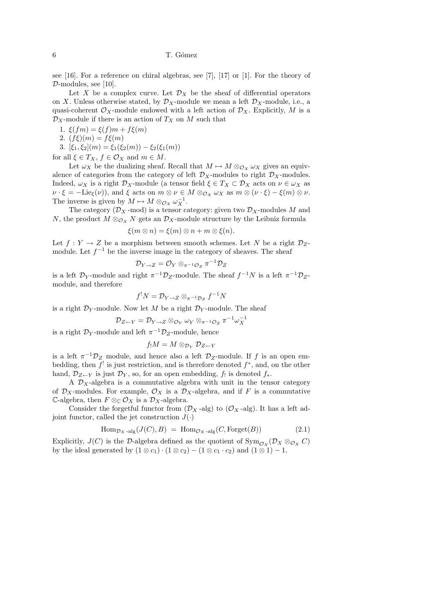6 T. G´omez

see [16]. For a reference on chiral algebras, see [7], [17] or [1]. For the theory of  $\mathcal{D}\text{-modules}$ , see [10].

Let X be a complex curve. Let  $\mathcal{D}_X$  be the sheaf of differential operators on X. Unless otherwise stated, by  $\mathcal{D}_X$ -module we mean a left  $\mathcal{D}_X$ -module, i.e., a quasi-coherent  $\mathcal{O}_X$ -module endowed with a left action of  $\mathcal{D}_X$ . Explicitly, M is a  $\mathcal{D}_X$ -module if there is an action of  $T_X$  on M such that

- 1.  $\xi(fm) = \xi(f)m + f\xi(m)$
- 2.  $(f\xi)(m) = f\xi(m)$
- 3.  $[\xi_1, \xi_2](m) = \xi_1(\xi_2(m)) \xi_2(\xi_1(m))$

for all  $\xi \in T_X$ ,  $f \in \mathcal{O}_X$  and  $m \in M$ .

Let  $\omega_X$  be the dualizing sheaf. Recall that  $M \mapsto M \otimes_{\mathcal{O}_X} \omega_X$  gives an equivalence of categories from the category of left  $\mathcal{D}_X$ -modules to right  $\mathcal{D}_X$ -modules. Indeed,  $\omega_X$  is a right  $\mathcal{D}_X$ -module (a tensor field  $\xi \in T_X \subset \mathcal{D}_X$  acts on  $\nu \in \omega_X$  as  $\nu \cdot \xi = -\text{Lie}_{\xi}(\nu)$ , and  $\xi$  acts on  $m \otimes \nu \in M \otimes_{\mathcal{O}_X} \omega_X$  as  $m \otimes (\nu \cdot \xi) - \xi(m) \otimes \nu$ . The inverse is given by  $M \mapsto M \otimes_{\mathcal{O}_X} \omega_X^{-1}$ .

The category ( $\mathcal{D}_X$ -mod) is a tensor category: given two  $\mathcal{D}_X$ -modules M and N, the product  $M \otimes_{\mathcal{O}_X} N$  gets an  $\mathcal{D}_X$ -module structure by the Leibniz formula

$$
\xi(m \otimes n) = \xi(m) \otimes n + m \otimes \xi(n).
$$

Let  $f: Y \to Z$  be a morphism between smooth schemes. Let N be a right  $\mathcal{D}_Z$ module. Let  $f^{-1}$  be the inverse image in the category of sheaves. The sheaf

$$
\mathcal{D}_{Y\to Z}=\mathcal{O}_Y\otimes_{\pi^{-1}\mathcal{O}_Z}\pi^{-1}\mathcal{D}_Z
$$

is a left  $\mathcal{D}_Y$ -module and right  $\pi^{-1}\mathcal{D}_Z$ -module. The sheaf  $f^{-1}N$  is a left  $\pi^{-1}\mathcal{D}_Z$ module, and therefore

$$
f^!N=\mathcal{D}_{Y\to Z}\otimes_{\pi^{-1}\mathcal{D}_Z}f^{-1}N
$$

is a right  $\mathcal{D}_Y$ -module. Now let M be a right  $\mathcal{D}_Y$ -module. The sheaf

$$
\mathcal{D}_{Z \leftarrow Y} = \mathcal{D}_{Y \rightarrow Z} \otimes_{\mathcal{O}_{Y}} \omega_{Y} \otimes_{\pi^{-1}\mathcal{O}_{Z}} \pi^{-1}\omega_{X}^{-1}
$$

is a right  $\mathcal{D}_Y$ -module and left  $\pi^{-1}\mathcal{D}_Z$ -module, hence

$$
f_!M=M\otimes_{\mathcal{D}_Y}\mathcal{D}_{Z\leftarrow Y}
$$

is a left  $\pi^{-1}\mathcal{D}_Z$  module, and hence also a left  $\mathcal{D}_Z$ -module. If f is an open embedding, then  $f'$  is just restriction, and is therefore denoted  $f^*$ , and, on the other hand,  $\mathcal{D}_{Z\leftarrow Y}$  is just  $\mathcal{D}_Y$ , so, for an open embedding,  $f_!$  is denoted  $f_*$ .

A  $\mathcal{D}_X$ -algebra is a commutative algebra with unit in the tensor category of  $\mathcal{D}_X$ -modules. For example,  $\mathcal{O}_X$  is a  $\mathcal{D}_X$ -algebra, and if F is a commutative C-algebra, then  $F \otimes_{\mathbb{C}} \mathcal{O}_X$  is a  $\mathcal{D}_X$ -algebra.

Consider the forgetful functor from  $(\mathcal{D}_X$ -alg) to  $(\mathcal{O}_X$ -alg). It has a left adjoint functor, called the jet construction  $J(\cdot)$ 

$$
\text{Hom}_{\mathcal{D}_X \text{-alg}}(J(C), B) = \text{Hom}_{\mathcal{O}_X \text{-alg}}(C, \text{Forget}(B)) \tag{2.1}
$$

Explicitly,  $J(C)$  is the D-algebra defined as the quotient of  $\text{Sym}_{\mathcal{O}_X}(\mathcal{D}_X \otimes_{\mathcal{O}_X} C)$ by the ideal generated by  $(1 \otimes c_1) \cdot (1 \otimes c_2) - (1 \otimes c_1 \cdot c_2)$  and  $(1 \otimes 1) - 1$ .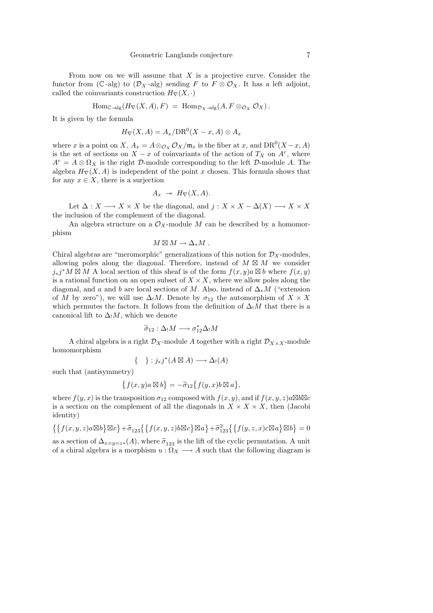From now on we will assume that  $X$  is a projective curve. Consider the functor from (C-alg) to  $(\mathcal{D}_X$ -alg) sending F to  $F \otimes \mathcal{O}_X$ . It has a left adjoint, called the coinvariants construction  $H_{\nabla}(X, \cdot)$ 

$$
\mathrm{Hom}_{\mathbb{C}\text{-}\mathrm{alg}}(H_{\nabla}(X,A), F) = \mathrm{Hom}_{\mathcal{D}_X\text{-}\mathrm{alg}}(A, F \otimes_{\mathcal{O}_X} \mathcal{O}_X).
$$

It is given by the formula

$$
H_{\nabla}(X, A) = A_x / \text{DR}^0(X - x, A) \otimes A_x
$$

where x is a point on X,  $A_x = A \otimes_{\mathcal{O}_X} \mathcal{O}_X/\mathfrak{m}_x$  is the fiber at x, and  $\text{DR}^0(X-x, A)$ is the set of sections on  $X - x$  of coinvariants of the action of  $T_X$  on  $A^r$ , where  $A^r = A \otimes \Omega_X$  is the right D-module corresponding to the left D-module A. The algebra  $H_{\nabla}(X, A)$  is independent of the point x chosen. This formula shows that for any  $x \in X$ , there is a surjection

$$
A_x \twoheadrightarrow H_{\nabla}(X, A).
$$

Let  $\Delta: X \longrightarrow X \times X$  be the diagonal, and  $j: X \times X - \Delta(X) \longrightarrow X \times X$ the inclusion of the complement of the diagonal.

An algebra structure on a  $\mathcal{O}_X$ -module M can be described by a homomorphism

$$
M\boxtimes M\to \Delta_*M\ .
$$

Chiral algebras are "meromorphic" generalizations of this notion for  $\mathcal{D}_X$ -modules, allowing poles along the diagonal. Therefore, instead of  $M \boxtimes M$  we consider  $j_*j^*M \boxtimes M$  A local section of this sheaf is of the form  $f(x, y)a \boxtimes b$  where  $f(x, y)$ is a rational function on an open subset of  $X \times X$ , where we allow poles along the diagonal, and a and b are local sections of M. Also, instead of  $\Delta_* M$  ("extension of M by zero"), we will use  $\Delta_1 M$ . Denote by  $\sigma_{12}$  the automorphism of  $X \times X$ which permutes the factors. It follows from the definition of  $\Delta_!M$  that there is a canonical lift to  $\Delta_!M$ , which we denote

$$
\widetilde{\sigma}_{12} : \Delta_! M \longrightarrow \sigma_{12}^* \Delta_! M
$$

A chiral algebra is a right  $\mathcal{D}_X$ -module A together with a right  $\mathcal{D}_{X\times X}$ -module homomorphism

$$
\{-\} : j_*j^*(A \boxtimes A) \longrightarrow \Delta_!(A)
$$

such that (antisymmetry)

$$
\big\{f(x,y)a\boxtimes b\big\}=-\widetilde{\sigma}_{12}\big\{f(y,x)b\boxtimes a\big\},
$$

where  $f(y, x)$  is the transposition  $\sigma_{12}$  composed with  $f(x, y)$ , and if  $f(x, y, z)a\boxtimes b\boxtimes c$ is a section on the complement of all the diagonals in  $X \times X \times X$ , then (Jacobi identity)

$$
\left\{ \left\{ f(x,y,z)a\boxtimes b\right\}\boxtimes c\right\} + \widetilde{\sigma}_{123}\left\{ \left\{ f(x,y,z)b\boxtimes c\right\}\boxtimes a\right\} + \widetilde{\sigma}_{123}^{2}\left\{ \left\{ f(y,z,x)c\boxtimes a\right\}\boxtimes b\right\} = 0
$$

as a section of  $\Delta_{x=y=z*}(A)$ , where  $\tilde{\sigma}_{123}$  is the lift of the cyclic permutation. A unit of a chiral algebra is a morphism  $u : \Omega_X \longrightarrow A$  such that the following diagram is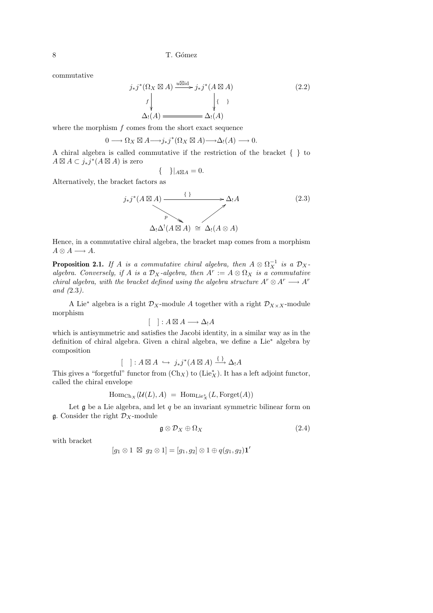commutative

$$
j_*j^*(\Omega_X \boxtimes A) \xrightarrow{u \boxtimes id} j_*j^*(A \boxtimes A)
$$
\n
$$
f \downarrow \qquad \qquad \downarrow \qquad \qquad (2.2)
$$
\n
$$
\Delta_!(A) \xrightarrow{\qquad \qquad \downarrow \qquad \qquad \downarrow \qquad \qquad (2.2)
$$

where the morphism  $f$  comes from the short exact sequence

$$
0 \longrightarrow \Omega_X \boxtimes A \longrightarrow j_*j^*(\Omega_X \boxtimes A) \longrightarrow \Delta_!(A) \longrightarrow 0.
$$

A chiral algebra is called commutative if the restriction of the bracket { } to  $A \boxtimes A \subset j_*j^*(A \boxtimes A)$  is zero

$$
\{\quad\}\vert_{A\boxtimes A}=0.
$$

Alternatively, the bracket factors as

$$
j_*j^*(A \boxtimes A) \xrightarrow{f} \Delta_1 A
$$
\n
$$
p \longrightarrow \Delta_1 A
$$
\n
$$
\Delta_1 \Delta^1(A \boxtimes A) \cong \Delta_1(A \otimes A)
$$
\n
$$
(2.3)
$$

Hence, in a commutative chiral algebra, the bracket map comes from a morphism  $A \otimes A \longrightarrow A$ .

**Proposition 2.1.** If A is a commutative chiral algebra, then  $A \otimes \Omega_X^{-1}$  is a  $\mathcal{D}_X$ algebra. Conversely, if A is a  $\mathcal{D}_X$ -algebra, then  $A^r := A \otimes \Omega_X$  is a commutative chiral algebra, with the bracket defined using the algebra structure  $A^r \otimes A^r \longrightarrow A^r$ and (2.3).

A Lie<sup>∗</sup> algebra is a right  $\mathcal{D}_X$ -module A together with a right  $\mathcal{D}_{X\times X}$ -module morphism

$$
[\quad]: A \boxtimes A \longrightarrow \Delta_! A
$$

which is antisymmetric and satisfies the Jacobi identity, in a similar way as in the definition of chiral algebra. Given a chiral algebra, we define a Lie<sup>∗</sup> algebra by composition

$$
[\quad]: A \boxtimes A \hookrightarrow j_*j^*(A \boxtimes A) \xrightarrow{\{\,\}} \Delta_!A
$$

This gives a "forgetful" functor from  $(\mathrm{Ch}_X)$  to  $(\mathrm{Lie}^*_X)$ . It has a left adjoint functor, called the chiral envelope

$$
\mathrm{Hom}_{\mathrm{Ch}_X}(\mathcal{U}(L),A) = \mathrm{Hom}_{\mathrm{Lie}_X^*}(L,\mathrm{Forget}(A))
$$

Let  $\mathfrak g$  be a Lie algebra, and let  $q$  be an invariant symmetric bilinear form on **g**. Consider the right  $\mathcal{D}_X$ -module

$$
\mathfrak{g} \otimes \mathcal{D}_X \oplus \Omega_X \tag{2.4}
$$

with bracket

$$
[g_1 \otimes 1 \boxtimes g_2 \otimes 1] = [g_1, g_2] \otimes 1 \oplus q(g_1, g_2) \mathbf{1}'
$$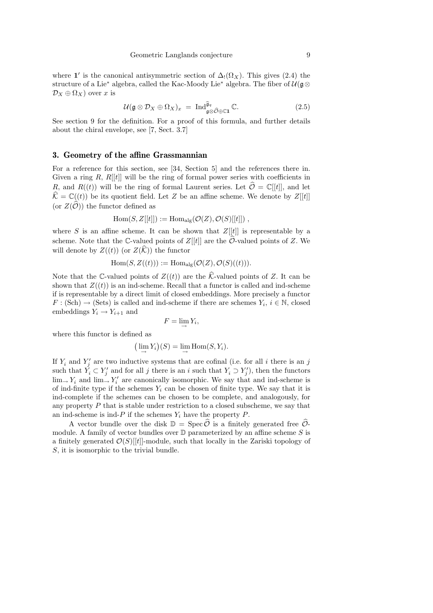where 1' is the canonical antisymmetric section of  $\Delta_!(\Omega_X)$ . This gives (2.4) the structure of a Lie<sup>∗</sup> algebra, called the Kac-Moody Lie<sup>∗</sup> algebra. The fiber of  $\mathcal{U}(\mathfrak{g}\otimes$  $\mathcal{D}_X \oplus \Omega_X$ ) over x is

$$
\mathcal{U}(\mathfrak{g}\otimes\mathcal{D}_X\oplus\Omega_X)_x \;=\; \mathrm{Ind}_{\mathfrak{g}\otimes\widehat{\mathcal{O}}\oplus\mathbb{C}\mathbf{1}}^{\widehat{\mathfrak{g}}_q}\mathbb{C}.\tag{2.5}
$$

See section 9 for the definition. For a proof of this formula, and further details about the chiral envelope, see [7, Sect. 3.7]

#### 3. Geometry of the affine Grassmannian

For a reference for this section, see [34, Section 5] and the references there in. Given a ring  $R$ ,  $R[[t]]$  will be the ring of formal power series with coefficients in R, and  $R((t))$  will be the ring of formal Laurent series. Let  $\hat{\mathcal{O}} = \mathbb{C}[[t]]$ , and let  $\widehat{\mathcal{K}} = \mathbb{C}((t))$  be its quotient field. Let Z be an affine scheme. We denote by  $Z[[t]]$ (or  $Z(\widehat{\mathcal{O}})$ ) the functor defined as

$$
\mathrm{Hom}(S,Z[[t]]) := \mathrm{Hom}_{\mathrm{alg}}(\mathcal{O}(Z),\mathcal{O}(S)[[t]])\;,
$$

where S is an affine scheme. It can be shown that  $Z[[t]]$  is representable by a scheme. Note that the C-valued points of  $Z[[t]]$  are the O-valued points of Z. We will denote by  $Z((t))$  (or  $Z(\widehat{\mathcal{K}})$ ) the functor

$$
\mathrm{Hom}(S, Z((t))) := \mathrm{Hom}_{\mathrm{alg}}(\mathcal{O}(Z), \mathcal{O}(S)((t))).
$$

Note that the C-valued points of  $Z((t))$  are the  $\hat{\mathcal{K}}$ -valued points of Z. It can be shown that  $Z((t))$  is an ind-scheme. Recall that a functor is called and ind-scheme if is representable by a direct limit of closed embeddings. More precisely a functor  $F : (\text{Sch}) \to (\text{Sets})$  is called and ind-scheme if there are schemes  $Y_i, i \in \mathbb{N}$ , closed embeddings  $Y_i \rightarrow Y_{i+1}$  and

$$
F=\lim_{\rightarrow} Y_i,
$$

where this functor is defined as

$$
\left(\lim_{\longrightarrow} Y_i\right)(S) = \lim_{\longrightarrow} \mathrm{Hom}(S, Y_i).
$$

If  $Y_i$  and  $Y'_j$  are two inductive systems that are cofinal (i.e. for all i there is an j such that  $\check{Y}_i \subset Y'_j$  and for all j there is an i such that  $Y_i \supset Y'_j$ , then the functors  $\lim_{x \to Y_i}$  and  $\lim_{x \to Y_i} Y_i'$  are canonically isomorphic. We say that and ind-scheme is of ind-finite type if the schemes  $Y_i$  can be chosen of finite type. We say that it is ind-complete if the schemes can be chosen to be complete, and analogously, for any property  $P$  that is stable under restriction to a closed subscheme, we say that an ind-scheme is ind-P if the schemes  $Y_i$  have the property P.

A vector bundle over the disk  $\mathbb{D} = \text{Spec} \, \widehat{\mathcal{O}}$  is a finitely generated free  $\widehat{\mathcal{O}}$ module. A family of vector bundles over  $\mathbb D$  parameterized by an affine scheme S is a finitely generated  $\mathcal{O}(S)[[t]]$ -module, such that locally in the Zariski topology of S, it is isomorphic to the trivial bundle.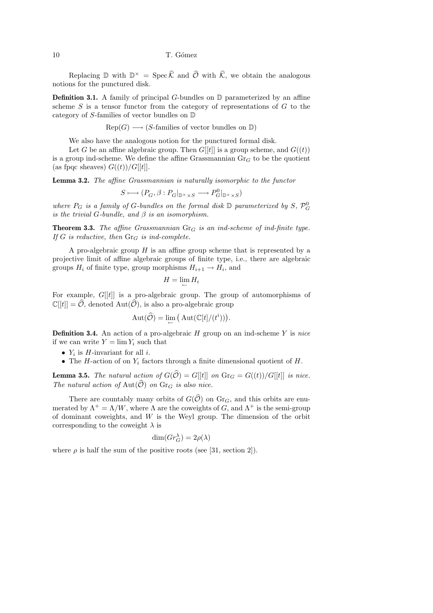Replacing  $\mathbb D$  with  $\mathbb D^{\times} = \operatorname{Spec} \widehat{\mathcal K}$  and  $\widehat{\mathcal O}$  with  $\widehat{\mathcal K}$ , we obtain the analogous notions for the punctured disk.

**Definition 3.1.** A family of principal G-bundles on  $\mathbb{D}$  parameterized by an affine scheme  $S$  is a tensor functor from the category of representations of  $G$  to the category of S-families of vector bundles on D

 $Rep(G) \longrightarrow (S$ -families of vector bundles on D)

We also have the analogous notion for the punctured formal disk.

Let G be an affine algebraic group. Then  $G[[t]]$  is a group scheme, and  $G((t))$ is a group ind-scheme. We define the affine Grassmannian  $\text{Gr}_G$  to be the quotient (as fpqc sheaves)  $G((t))/G[[t]]$ .

Lemma 3.2. The affine Grassmannian is naturally isomorphic to the functor

$$
S\longmapsto (P_G,\beta:P_G|_{\mathbb{D}^\times\times S}\longrightarrow P^0_G|_{\mathbb{D}^\times\times S})
$$

where  $P_G$  is a family of G-bundles on the formal disk  $\mathbb D$  parameterized by  $S, \mathcal{P}_G^0$ is the trivial G-bundle, and  $\beta$  is an isomorphism.

**Theorem 3.3.** The affine Grassmannian  $\text{Gr}_G$  is an ind-scheme of ind-finite type. If G is reductive, then  $\text{Gr}_G$  is ind-complete.

A pro-algebraic group  $H$  is an affine group scheme that is represented by a projective limit of affine algebraic groups of finite type, i.e., there are algebraic groups  $H_i$  of finite type, group morphisms  $H_{i+1} \to H_i$ , and

$$
H=\lim_{\leftarrow} H_i
$$

For example,  $G[[t]]$  is a pro-algebraic group. The group of automorphisms of  $\mathbb{C}[[t]] = \mathcal{O}$ , denoted Aut $(\mathcal{O})$ , is also a pro-algebraic group

$$
Aut(\widehat{\mathcal{O}}) = \lim_{\leftarrow} (Aut(\mathbb{C}[t]/(t^i))).
$$

**Definition 3.4.** An action of a pro-algebraic  $H$  group on an ind-scheme  $Y$  is nice if we can write  $Y = \lim Y_i$  such that

- $Y_i$  is *H*-invariant for all *i*.
- The H-action of on  $Y_i$  factors through a finite dimensional quotient of  $H$ .

**Lemma 3.5.** The natural action of  $G(\widehat{O}) = G[[t]]$  on  $\text{Gr}_G = G((t))/G[[t]]$  is nice. The natural action of Aut $(\widehat{\mathcal{O}})$  on  $\text{Gr}_G$  is also nice.

There are countably many orbits of  $G(\widehat{\mathcal{O}})$  on  $\text{Gr}_G$ , and this orbits are enumerated by  $\Lambda^+ = \Lambda/W$ , where  $\Lambda$  are the coweights of G, and  $\Lambda^+$  is the semi-group of dominant coweights, and  $W$  is the Weyl group. The dimension of the orbit corresponding to the coweight  $\lambda$  is

$$
\dim(Gr_G^{\lambda}) = 2\rho(\lambda)
$$

where  $\rho$  is half the sum of the positive roots (see [31, section 2]).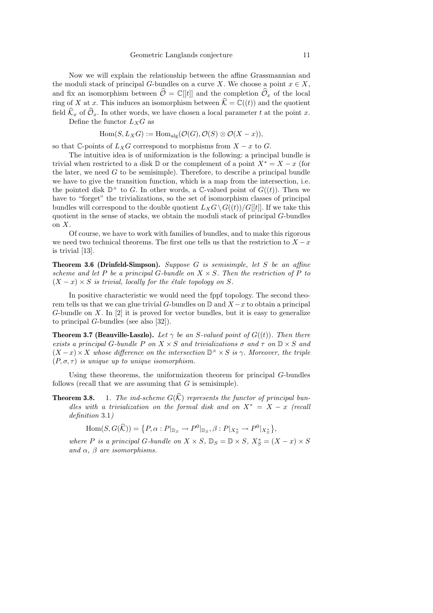Now we will explain the relationship between the affine Grassmannian and the moduli stack of principal G-bundles on a curve X. We choose a point  $x \in X$ , and fix an isomorphism between  $\hat{\mathcal{O}} = \mathbb{C}[[t]]$  and the completion  $\hat{\mathcal{O}}_x$  of the local ring of X at x. This induces an isomorphism between  $\hat{\mathcal{K}} = \mathbb{C}((t))$  and the quotient field  $\widehat{\mathcal{K}}_x$  of  $\widehat{\mathcal{O}}_x$ . In other words, we have chosen a local parameter t at the point x.

Define the functor  $L_XG$  as

$$
\mathrm{Hom}(S, L_X G) := \mathrm{Hom}_{\mathrm{alg}}(\mathcal{O}(G), \mathcal{O}(S) \otimes \mathcal{O}(X - x)),
$$

so that C-points of  $L_XG$  correspond to morphisms from  $X - x$  to  $G$ .

The intuitive idea is of uniformization is the following: a principal bundle is trivial when restricted to a disk D or the complement of a point  $X^* = X - x$  (for the later, we need  $G$  to be semisimple). Therefore, to describe a principal bundle we have to give the transition function, which is a map from the intersection, i.e. the pointed disk  $\mathbb{D}^{\times}$  to G. In other words, a C-valued point of  $G((t))$ . Then we have to "forget" the trivializations, so the set of isomorphism classes of principal bundles will correspond to the double quotient  $L_XG\setminus G((t))/G[[t]]$ . If we take this quotient in the sense of stacks, we obtain the moduli stack of principal G-bundles on  $X$ .

Of course, we have to work with families of bundles, and to make this rigorous we need two technical theorems. The first one tells us that the restriction to  $X - x$ is trivial [13].

Theorem 3.6 (Drinfeld-Simpson). Suppose G is semisimple, let S be an affine scheme and let P be a principal G-bundle on  $X \times S$ . Then the restriction of P to  $(X - x) \times S$  is trivial, locally for the étale topology on S.

In positive characteristic we would need the fppf topology. The second theorem tells us that we can glue trivial G-bundles on  $\mathbb D$  and  $X - x$  to obtain a principal G-bundle on  $X$ . In  $[2]$  it is proved for vector bundles, but it is easy to generalize to principal G-bundles (see also [32]).

**Theorem 3.7 (Beauville-Laszlo).** Let  $\gamma$  be an S-valued point of  $G((t))$ . Then there exists a principal G-bundle P on  $X \times S$  and trivializations  $\sigma$  and  $\tau$  on  $\mathbb{D} \times S$  and  $(X-x) \times X$  whose difference on the intersection  $\mathbb{D}^{\times} \times S$  is  $\gamma$ . Moreover, the triple  $(P, \sigma, \tau)$  is unique up to unique isomorphism.

Using these theorems, the uniformization theorem for principal G-bundles follows (recall that we are assuming that  $G$  is semisimple).

**Theorem 3.8.** 1. The ind-scheme  $G(\widehat{K})$  represents the functor of principal bundles with a trivialization on the formal disk and on  $X^* = X - x$  (recall definition 3.1)

$$
\operatorname{Hom}(S, G(\widehat{K})) = \{ P, \alpha : P|_{\mathbb{D}_S} \to P^0|_{\mathbb{D}_S}, \beta : P|_{X_S^*} \to P^0|_{X_S^*} \},
$$

where P is a principal G-bundle on  $X \times S$ ,  $\mathbb{D}_S = \mathbb{D} \times S$ ,  $X_S^* = (X - x) \times S$ and  $\alpha$ ,  $\beta$  are isomorphisms.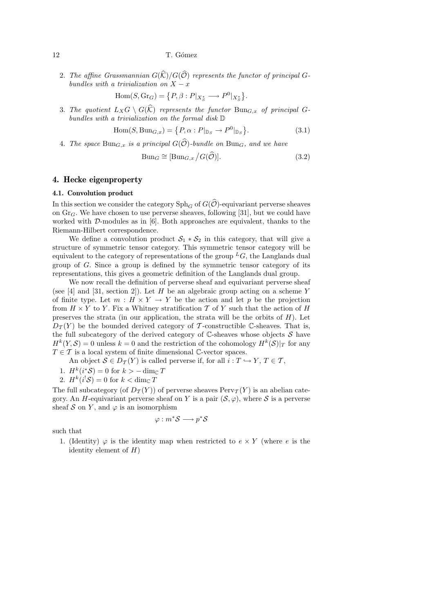2. The affine Grassmannian  $G(\widehat{K})/G(\widehat{O})$  represents the functor of principal Gbundles with a trivialization on  $X - x$ 

$$
\text{Hom}(S, \text{Gr}_G) = \left\{ P, \beta : P|_{X_S^*} \longrightarrow P^0|_{X_S^*} \right\}
$$

3. The quotient  $L_XG \setminus G(\widehat{K})$  represents the functor  $Bun_{G,x}$  of principal Gbundles with a trivialization on the formal disk D

$$
\text{Hom}(S, \text{Bun}_{G,x}) = \{P, \alpha : P|_{\mathbb{D}_S} \to P^0|_{\mathbb{D}_S}\}.
$$
\n(3.1)

4. The space  $\text{Bun}_{G,x}$  is a principal  $G(\widehat{\mathcal{O}})$ -bundle on  $\text{Bun}_G$ , and we have

$$
\text{Bun}_G \cong [\text{Bun}_{G,x} / G(\widehat{\mathcal{O}})]. \tag{3.2}
$$

.

## 4. Hecke eigenproperty

#### 4.1. Convolution product

In this section we consider the category  $\text{Sph}_G$  of  $G(\widehat{\mathcal{O}})$ -equivariant perverse sheaves on  $Gr_G$ . We have chosen to use perverse sheaves, following [31], but we could have worked with  $D$ -modules as in [6]. Both approaches are equivalent, thanks to the Riemann-Hilbert correspondence.

We define a convolution product  $S_1 * S_2$  in this category, that will give a structure of symmetric tensor category. This symmetric tensor category will be equivalent to the category of representations of the group  $^L G$ , the Langlands dual group of G. Since a group is defined by the symmetric tensor category of its representations, this gives a geometric definition of the Langlands dual group.

We now recall the definition of perverse sheaf and equivariant perverse sheaf (see [4] and [31, section 2]). Let H be an algebraic group acting on a scheme Y of finite type. Let  $m : H \times Y \to Y$  be the action and let p be the projection from  $H \times Y$  to Y. Fix a Whitney stratification  $\mathcal T$  of Y such that the action of H preserves the strata (in our application, the strata will be the orbits of  $H$ ). Let  $D_{\mathcal{T}}(Y)$  be the bounded derived category of T-constructible C-sheaves. That is, the full subcategory of the derived category of  $\mathbb{C}$ -sheaves whose objects  $\mathcal S$  have  $H^k(Y, \mathcal{S}) = 0$  unless  $k = 0$  and the restriction of the cohomology  $H^k(\mathcal{S})|_T$  for any  $T \in \mathcal{T}$  is a local system of finite dimensional C-vector spaces.

An object  $S \in D_T(Y)$  is called perverse if, for all  $i: T \hookrightarrow Y, T \in \mathcal{T}$ ,

- 1.  $H^k(i^*\mathcal{S}) = 0$  for  $k > -\dim_{\mathbb{C}} T$
- 2.  $H^k(i^!\mathcal{S}) = 0$  for  $k < \dim_{\mathbb{C}} T$

The full subcategory (of  $D_{\mathcal{T}}(Y)$ ) of perverse sheaves  $Perv_{\mathcal{T}}(Y)$  is an abelian category. An H-equivariant perverse sheaf on Y is a pair  $(S, \varphi)$ , where S is a perverse sheaf S on Y, and  $\varphi$  is an isomorphism

$$
\varphi: m^*{\mathcal S} \longrightarrow p^*{\mathcal S}
$$

such that

1. (Identity)  $\varphi$  is the identity map when restricted to  $e \times Y$  (where e is the identity element of  $H$ )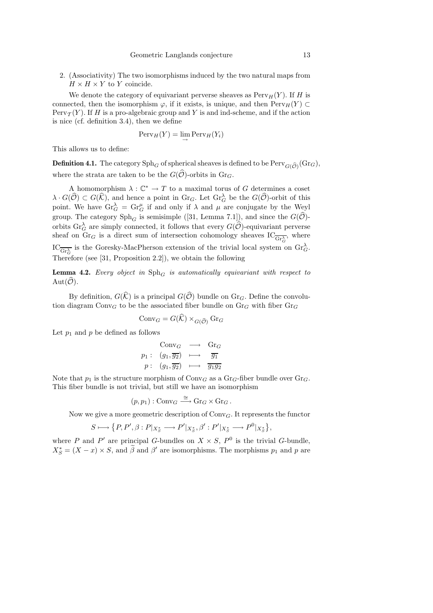2. (Associativity) The two isomorphisms induced by the two natural maps from  $H \times H \times Y$  to Y coincide.

We denote the category of equivariant perverse sheaves as  $Perv_H(Y)$ . If H is connected, then the isomorphism  $\varphi$ , if it exists, is unique, and then  $Perv_H(Y) \subset$ Perv $\tau(Y)$ . If H is a pro-algebraic group and Y is and ind-scheme, and if the action is nice (cf. definition 3.4), then we define

$$
\operatorname{Perv}_H(Y) = \lim_{\to} \operatorname{Perv}_H(Y_i)
$$

This allows us to define:

**Definition 4.1.** The category  $\mathrm{Sph}_G$  of spherical sheaves is defined to be  $\mathrm{Perv}_{G(\widehat{\mathcal{O}})}(\mathrm{Gr}_G),$ where the strata are taken to be the  $G(\widehat{\mathcal{O}})$ -orbits in  $\text{Gr}_G$ .

A homomorphism  $\lambda: \mathbb{C}^* \to T$  to a maximal torus of G determines a coset  $\lambda \cdot G(\widehat{\mathcal{O}}) \subset G(\widehat{\mathcal{K}})$ , and hence a point in Gr<sub>G</sub>. Let  $\mathrm{Gr}_{G}^{\lambda}$  be the  $G(\widehat{\mathcal{O}})$ -orbit of this point. We have  $\text{Gr}_G^{\lambda} = \text{Gr}_G^{\mu}$  if and only if  $\lambda$  and  $\mu$  are conjugate by the Weyl group. The category  $\text{Sph}_G$  is semisimple ([31, Lemma 7.1]), and since the  $G(\mathcal{O})$ orbits  $\text{Gr}_G^{\lambda}$  are simply connected, it follows that every  $G(\widehat{\mathcal{O}})$ -equivariant perverse sheaf on  $\text{Gr}_G$  is a direct sum of intersection cohomology sheaves  $\text{IC}_{\overline{\text{Gr}_G^{\lambda}}},$  where  $\text{IC}_{\overline{\text{Gr}_{G}^{\lambda}}}$  is the Goresky-MacPherson extension of the trivial local system on  $\text{Gr}_{G}^{\lambda}$ .

Therefore (see [31, Proposition 2.2]), we obtain the following

**Lemma 4.2.** Every object in  $Sph_G$  is automatically equivariant with respect to Aut $(\widehat{\mathcal{O}})$ .

By definition,  $G(\widehat{K})$  is a principal  $G(\widehat{O})$  bundle on  $\text{Gr}_G$ . Define the convolution diagram  $Conv_G$  to be the associated fiber bundle on  $Gr_G$  with fiber  $Gr_G$ 

$$
\mathrm{Conv}_G = G(\mathcal{K}) \times_{G(\widehat{\mathcal{O}})} \mathrm{Gr}_G
$$

Let  $p_1$  and  $p$  be defined as follows

$$
\begin{array}{ccc}\n\text{Conv}_G & \longrightarrow & \text{Gr}_G \\
p_1: & (g_1, \overline{g_2}) & \longmapsto & \overline{g_1} \\
p: & (g_1, \overline{g_2}) & \longmapsto & \overline{g_1g_2}\n\end{array}
$$

Note that  $p_1$  is the structure morphism of Conv<sub>G</sub> as a Gr<sub>G</sub>-fiber bundle over Gr<sub>G</sub>. This fiber bundle is not trivial, but still we have an isomorphism

$$
(p, p_1) : \text{Conv}_G \stackrel{\cong}{\longrightarrow} \text{Gr}_G \times \text{Gr}_G .
$$

Now we give a more geometric description of  $Conv_G$ . It represents the functor

$$
S\longmapsto \big\{P,P',\beta:P|_{X_{S}^{*}}\longrightarrow P'|_{X_{S}^{*}},\beta':P'|_{X_{S}^{*}}\longrightarrow P^{0}|_{X_{S}^{*}}\big\},
$$

where P and P' are principal G-bundles on  $X \times S$ ,  $P^0$  is the trivial G-bundle,  $X_S^* = (X - x) \times S$ , and  $\hat{\beta}$  and  $\beta'$  are isomorphisms. The morphisms  $p_1$  and  $p$  are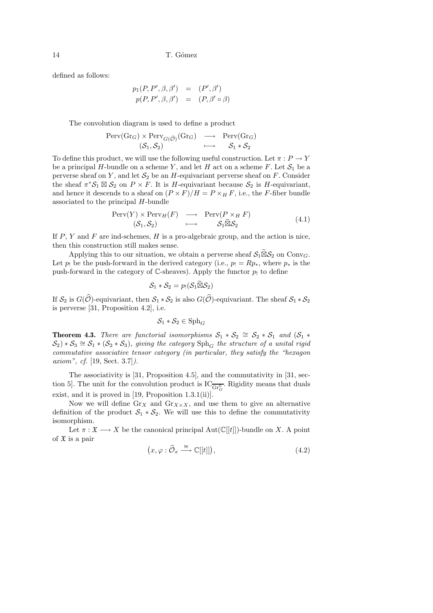defined as follows:

$$
p_1(P, P', \beta, \beta') = (P', \beta')
$$
  

$$
p(P, P', \beta, \beta') = (P, \beta' \circ \beta)
$$

The convolution diagram is used to define a product

$$
\begin{array}{rcl}\n\operatorname{Perv}(Gr_G) \times \operatorname{Perv}_{G(\widehat{\mathcal{O}})}(Gr_G) & \longrightarrow & \operatorname{Perv}(Gr_G) \\
(S_1, S_2) & \longmapsto & S_1 * S_2\n\end{array}
$$

To define this product, we will use the following useful construction. Let  $\pi : P \to Y$ be a principal H-bundle on a scheme Y, and let H act on a scheme F. Let  $S_1$  be a perverse sheaf on Y, and let  $S_2$  be an H-equivariant perverse sheaf on F. Consider the sheaf  $\pi^* \mathcal{S}_1 \boxtimes \mathcal{S}_2$  on  $P \times F$ . It is H-equivariant because  $\mathcal{S}_2$  is H-equivariant, and hence it descends to a sheaf on  $(P \times F)/H = P \times_H F$ , i.e., the F-fiber bundle associated to the principal H-bundle

$$
\begin{array}{rcl}\n\text{Perv}(Y) \times \text{Perv}_H(F) & \longrightarrow & \text{Perv}(P \times_H F) \\
(\mathcal{S}_1, \mathcal{S}_2) & \longmapsto & \mathcal{S}_1 \widetilde{\boxtimes} \mathcal{S}_2\n\end{array} \tag{4.1}
$$

If  $P, Y$  and  $F$  are ind-schemes,  $H$  is a pro-algebraic group, and the action is nice, then this construction still makes sense.

Applying this to our situation, we obtain a perverse sheaf  $S_1 \widetilde{\boxtimes} S_2$  on Conv<sub>G</sub>. Let  $p_!$  be the push-forward in the derived category (i.e.,  $p_! = Rp_*,$  where  $p_*$  is the push-forward in the category of  $\mathbb C$ -sheaves). Apply the functor  $p_!$  to define

$$
\mathcal{S}_1 * \mathcal{S}_2 = p_! (\mathcal{S}_1 \widetilde{\boxtimes} \mathcal{S}_2)
$$

If  $S_2$  is  $G(\widehat{\mathcal{O}})$ -equivariant, then  $S_1 * S_2$  is also  $G(\widehat{\mathcal{O}})$ -equivariant. The sheaf  $S_1 * S_2$ is perverse [31, Proposition 4.2], i.e.

$$
\mathcal{S}_1 * \mathcal{S}_2 \in \mathrm{Sph}_G
$$

**Theorem 4.3.** There are functorial isomorphisms  $S_1 * S_2 \cong S_2 * S_1$  and  $(S_1 * S_2)$  $(\mathcal{S}_2) * \mathcal{S}_3 \cong \mathcal{S}_1 * (\mathcal{S}_2 * \mathcal{S}_3)$ , giving the category  $\text{Sph}_G$  the structure of a unital rigid commutative associative tensor category (in particular, they satisfy the "hexagon axiom", cf. [19, Sect. 3.7]).

The associativity is [31, Proposition 4.5], and the commutativity in [31, section 5. The unit for the convolution product is  $IC_{\overline{\text{Gr}_G^0}}$ . Rigidity means that duals exist, and it is proved in [19, Proposition 1.3.1(ii)].

Now we will define  $\text{Gr}_X$  and  $\text{Gr}_{X\times X}$ , and use them to give an alternative definition of the product  $S_1 * S_2$ . We will use this to define the commutativity isomorphism.

Let  $\pi : \mathfrak{X} \longrightarrow X$  be the canonical principal  $Aut(\mathbb{C}[[t]])$ -bundle on X. A point of  $\mathfrak X$  is a pair

$$
(x, \varphi : \widehat{\mathcal{O}}_x \xrightarrow{\cong} \mathbb{C}[[t]]), \tag{4.2}
$$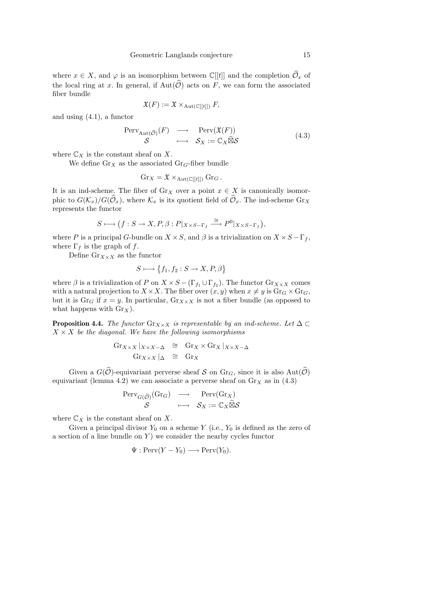where  $x \in X$ , and  $\varphi$  is an isomorphism between  $\mathbb{C}[[t]]$  and the completion  $\widehat{\mathcal{O}}_x$  of the local ring at x. In general, if  $Aut(\widehat{\mathcal{O}})$  acts on F, we can form the associated fiber bundle

$$
\mathfrak{X}(F) := \mathfrak{X} \times_{\mathrm{Aut}(\mathbb{C}[[t]])} F,
$$

and using (4.1), a functor

$$
\begin{array}{ccc}\n\text{Perv}_{\text{Aut}(\widehat{\mathcal{O}})}(F) & \longrightarrow & \text{Perv}(\mathfrak{X}(F)) \\
\mathcal{S} & \longmapsto & \mathcal{S}_X := \mathbb{C}_X \widetilde{\boxtimes} \mathcal{S}\n\end{array} \tag{4.3}
$$

where  $\mathbb{C}_X$  is the constant sheaf on X.

We define  $\text{Gr}_X$  as the associated  $\text{Gr}_G$ -fiber bundle

$$
\mathrm{Gr}_X = \mathfrak{X} \times_{\mathrm{Aut}(\mathbb{C}[[t]])} \mathrm{Gr}_G.
$$

It is an ind-scheme. The fiber of  $\operatorname{Gr}_X$  over a point  $x \in X$  is canonically isomorphic to  $G(\mathcal{K}_x)/G(\widehat{\mathcal{O}}_x)$ , where  $\mathcal{K}_x$  is its quotient field of  $\widehat{\mathcal{O}}_x$ . The ind-scheme  $\text{Gr}_X$ represents the functor

$$
S \longmapsto (f: S \to X, P, \beta: P|_{X \times S - \Gamma_f} \stackrel{\cong}{\longrightarrow} P^0|_{X \times S - \Gamma_f}),
$$

where P is a principal G-bundle on  $X \times S$ , and  $\beta$  is a trivialization on  $X \times S - \Gamma_f$ , where  $\Gamma_f$  is the graph of f.

Define  $\mathrm{Gr}_{X\times X}$  as the functor

$$
S \longmapsto \{f_1, f_2 : S \to X, P, \beta\}
$$

where  $\beta$  is a trivialization of P on  $X \times S - (\Gamma_{f_1} \cup \Gamma_{f_2})$ . The functor  $\text{Gr}_{X \times X}$  comes with a natural projection to  $X \times X$ . The fiber over  $(x, y)$  when  $x \neq y$  is  $\text{Gr}_G \times \text{Gr}_G$ , but it is Gr<sub>G</sub> if  $x = y$ . In particular, Gr<sub>X×X</sub> is not a fiber bundle (as opposed to what happens with  $\text{Gr}_X$ ).

**Proposition 4.4.** The functor Gr<sub>X×X</sub> is representable by an ind-scheme. Let  $\Delta \subset$  $X \times X$  be the diagonal. We have the following isomorphisms

$$
Gr_{X \times X} |_{X \times X - \Delta} \cong Gr_X \times Gr_X |_{X \times X - \Delta}
$$
  

$$
Gr_{X \times X} |_{\Delta} \cong Gr_X
$$

Given a  $G(\hat{O})$ -equivariant perverse sheaf S on Gr<sub>G</sub>, since it is also Aut $(\hat{O})$ equivariant (lemma 4.2) we can associate a perverse sheaf on  $\text{Gr}_X$  as in (4.3)

$$
\begin{array}{ccc}\n\operatorname{Perv}_{G(\widehat{\mathcal{O}})}(\mathrm{Gr}_G) & \longrightarrow & \operatorname{Perv}(\mathrm{Gr}_X) \\
\mathcal{S} & \longmapsto & \mathcal{S}_X := \mathbb{C}_X \widetilde{\boxtimes} \mathcal{S}\n\end{array}
$$

where  $\mathbb{C}_X$  is the constant sheaf on X.

Given a principal divisor  $Y_0$  on a scheme Y (i.e.,  $Y_0$  is defined as the zero of a section of a line bundle on  $Y$ ) we consider the nearby cycles functor

$$
\Psi : \mathrm{Perv}(Y - Y_0) \longrightarrow \mathrm{Perv}(Y_0).
$$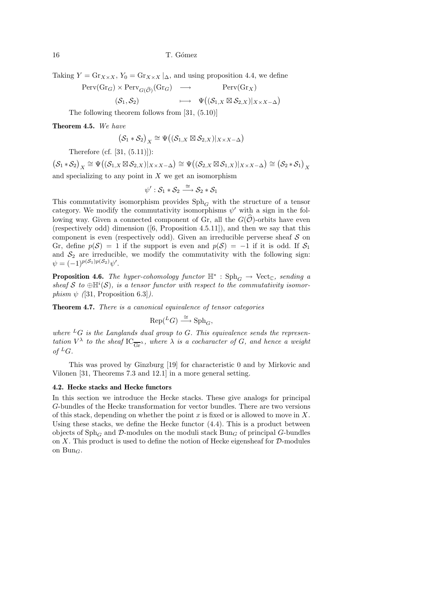Taking  $Y = \text{Gr}_{X \times X}$ ,  $Y_0 = \text{Gr}_{X \times X} |_{\Delta}$ , and using proposition 4.4, we define

$$
\begin{array}{ccc}\n\operatorname{Perv}(Gr_G) \times \operatorname{Perv}_{G(\widehat{\mathcal{O}})}(Gr_G) & \longrightarrow & \operatorname{Perv}(Gr_X) \\
(\mathcal{S}_1, \mathcal{S}_2) & \longmapsto & \Psi\big((\mathcal{S}_{1,X} \boxtimes \mathcal{S}_{2,X})|_{X \times X - \Delta}\big)\n\end{array}
$$

The following theorem follows from [31, (5.10)]

Theorem 4.5. We have

$$
\big(\mathcal{S}_1*\mathcal{S}_2\big)_X\cong\Psi\big((\mathcal{S}_{1,X}\boxtimes\mathcal{S}_{2,X})|_{X\times X-\Delta}\big)
$$

Therefore (cf. [31, (5.11)]):

 $(S_1 * S_2)_X \cong \Psi((S_{1,X} \boxtimes S_{2,X})|_{X \times X-\Delta}) \cong \Psi((S_{2,X} \boxtimes S_{1,X})|_{X \times X-\Delta}) \cong (S_2 * S_1)_X$ and specializing to any point in  $X$  we get an isomorphism

$$
\psi': \mathcal{S}_1 * \mathcal{S}_2 \stackrel{\cong}{\longrightarrow} \mathcal{S}_2 * \mathcal{S}_1
$$

This commutativity isomorphism provides  $\text{Sph}_G$  with the structure of a tensor category. We modify the commutativity isomorphisms  $\psi'$  with a sign in the following way. Given a connected component of Gr, all the  $G(\hat{O})$ -orbits have even (respectively odd) dimension ( $[6,$  Proposition 4.5.11]), and then we say that this component is even (respectively odd). Given an irreducible perverse sheaf  $S$  on Gr, define  $p(\mathcal{S}) = 1$  if the support is even and  $p(\mathcal{S}) = -1$  if it is odd. If  $\mathcal{S}_1$ and  $S_2$  are irreducible, we modify the commutativity with the following sign:  $\psi = (-1)^{p(\mathcal{S}_1)p(\mathcal{S}_2)}\psi'.$ 

**Proposition 4.6.** The hyper-cohomology functor  $\mathbb{H}^*$  :  $\text{Sph}_G \to \text{Vect}_{\mathbb{C}}$ , sending a sheaf S to  $\bigoplus \mathbb{H}^i(\mathcal{S})$ , is a tensor functor with respect to the commutativity isomorphism  $\psi$  ([31, Proposition 6.3]).

Theorem 4.7. There is a canonical equivalence of tensor categories

$$
\text{Rep}({}^LG)\stackrel{\cong}{\longrightarrow} \text{Sph}_G,
$$

where  ${}^LG$  is the Langlands dual group to G. This equivalence sends the representation  $V^{\lambda}$  to the sheaf  $IC_{\overline{Gr}}^{\lambda}$ , where  $\lambda$  is a cocharacter of  $G$ , and hence a weight of  ${}^LG$ .

This was proved by Ginzburg [19] for characteristic 0 and by Mirkovic and Vilonen [31, Theorems 7.3 and 12.1] in a more general setting.

#### 4.2. Hecke stacks and Hecke functors

In this section we introduce the Hecke stacks. These give analogs for principal G-bundles of the Hecke transformation for vector bundles. There are two versions of this stack, depending on whether the point  $x$  is fixed or is allowed to move in  $X$ . Using these stacks, we define the Hecke functor  $(4.4)$ . This is a product between objects of  $Sph_G$  and D-modules on the moduli stack  $Bun_G$  of principal G-bundles on X. This product is used to define the notion of Hecke eigensheaf for  $D$ -modules on  $Bun_G$ .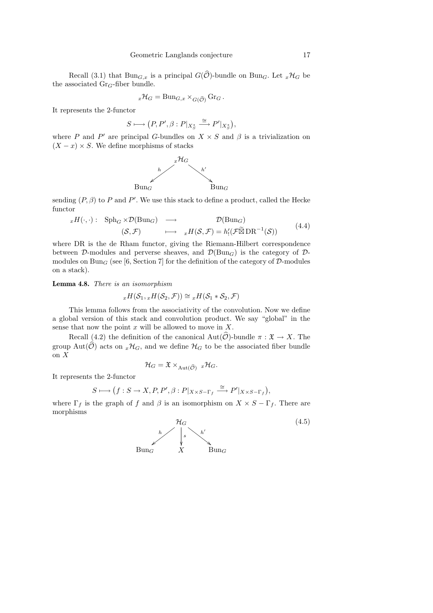Recall (3.1) that  $\text{Bun}_{G,x}$  is a principal  $G(\widehat{\mathcal{O}})$ -bundle on Bun<sub>G</sub>. Let  ${}_{x}\mathcal{H}_{G}$  be the associated  $Gr_G$ -fiber bundle.

$$
{}_{x}\mathcal{H}_{G} = \text{Bun}_{G,x} \times_{G(\widehat{\mathcal{O}})} \text{Gr}_G.
$$

It represents the 2-functor

$$
S \longmapsto \big(P, P', \beta : P|_{X_S^*} \stackrel{\cong}{\longrightarrow} P'|_{X_S^*}\big),
$$

where P and P' are principal G-bundles on  $X \times S$  and  $\beta$  is a trivialization on  $(X - x) \times S$ . We define morphisms of stacks



sending  $(P, \beta)$  to P and P'. We use this stack to define a product, called the Hecke functor

$$
xH(\cdot, \cdot): \text{Sph}_G \times \mathcal{D}(\text{Bun}_G) \longrightarrow \mathcal{D}(\text{Bun}_G) \longrightarrow (S, \mathcal{F}) \longrightarrow xH(S, \mathcal{F}) = h'_1(\mathcal{F}\widetilde{\boxtimes} \text{DR}^{-1}(S)) \tag{4.4}
$$

where DR is the de Rham functor, giving the Riemann-Hilbert correspondence between D-modules and perverse sheaves, and  $\mathcal{D}(\text{Bun}_G)$  is the category of Dmodules on Bun<sub>G</sub> (see [6, Section 7] for the definition of the category of  $\mathcal{D}$ -modules on a stack).

Lemma 4.8. There is an isomorphism

$$
{}_xH(\mathcal{S}_1, {}_xH(\mathcal{S}_2,\mathcal{F})) \cong {}_xH(\mathcal{S}_1 * \mathcal{S}_2,\mathcal{F})
$$

This lemma follows from the associativity of the convolution. Now we define a global version of this stack and convolution product. We say "global" in the sense that now the point  $x$  will be allowed to move in  $X$ .

Recall (4.2) the definition of the canonical  $\text{Aut}(\hat{O})$ -bundle  $\pi : \mathfrak{X} \to X$ . The group Aut $(\widehat{\mathcal{O}})$  acts on  ${}_{x}\mathcal{H}_{G}$ , and we define  $\mathcal{H}_{G}$  to be the associated fiber bundle on X

$$
\mathcal{H}_G = \mathfrak{X} \times_{\mathrm{Aut}(\widehat{\mathcal{O}})} x \mathcal{H}_G.
$$

It represents the 2-functor

$$
S \longmapsto (f: S \to X, P, P', \beta: P|_{X \times S - \Gamma_f} \xrightarrow{\cong} P'|_{X \times S - \Gamma_f}),
$$

where  $\Gamma_f$  is the graph of f and  $\beta$  is an isomorphism on  $X \times S - \Gamma_f$ . There are morphisms

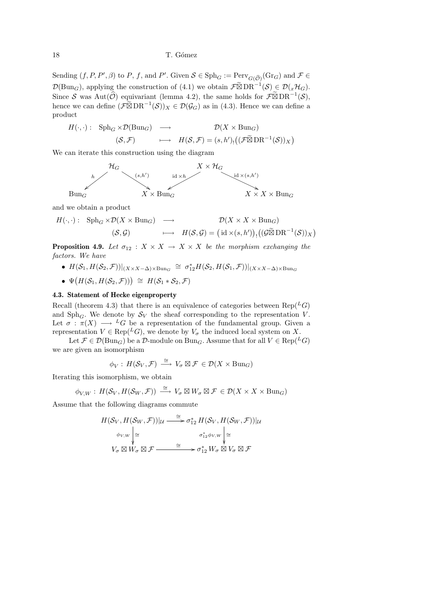Sending  $(f, P, P', \beta)$  to P, f, and P'. Given  $S \in \text{Sph}_G := \text{Perv}_{G(\widehat{\mathcal{O}})}(\text{Gr}_G)$  and  $\mathcal{F} \in$  $\mathcal{D}(\text{Bun}_G)$ , applying the construction of (4.1) we obtain  $\mathcal{F}\widetilde{\boxtimes} \text{DR}^{-1}(\mathcal{S}) \subsetneq \mathcal{D}(x\mathcal{H}_G)$ . Since S was Aut $(\widehat{O})$  equivariant (lemma 4.2), the same holds for  $\mathcal{F}\widetilde{\boxtimes} D\mathrm{R}^{-1}(\mathcal{S})$ , hence we can define  $(\mathcal{F}\widetilde{\boxtimes} \mathrm{DR}^{-1}(\mathcal{S}))_X \in \mathcal{D}(\mathcal{G}_G)$  as in (4.3). Hence we can define a product

$$
H(\cdot, \cdot): \text{Sph}_G \times \mathcal{D}(\text{Bun}_G) \longrightarrow \mathcal{D}(X \times \text{Bun}_G)
$$
  

$$
(\mathcal{S}, \mathcal{F}) \longmapsto H(\mathcal{S}, \mathcal{F}) = (s, h')_!((\mathcal{F}\widetilde{\boxtimes} \text{DR}^{-1}(\mathcal{S}))_X)
$$

We can iterate this construction using the diagram



and we obtain a product

$$
H(\cdot, \cdot): \text{Sph}_G \times \mathcal{D}(X \times \text{Bun}_G) \longrightarrow \mathcal{D}(X \times X \times \text{Bun}_G)
$$
  

$$
(\mathcal{S}, \mathcal{G}) \longmapsto H(\mathcal{S}, \mathcal{G}) = (\text{id} \times (s, h'))_!((\mathcal{G} \widetilde{\boxtimes} \text{DR}^{-1}(\mathcal{S}))_X)
$$

**Proposition 4.9.** Let  $\sigma_{12}: X \times X \rightarrow X \times X$  be the morphism exchanging the factors. We have

- $H(\mathcal{S}_1, H(\mathcal{S}_2, \mathcal{F}))|_{(X \times X \Delta) \times \text{Bun}_G} \cong \sigma_{12}^* H(\mathcal{S}_2, H(\mathcal{S}_1, \mathcal{F}))|_{(X \times X \Delta) \times \text{Bun}_G}$
- $\Psi(H(\mathcal{S}_1, H(\mathcal{S}_2, \mathcal{F}))) \cong H(\mathcal{S}_1 * \mathcal{S}_2, \mathcal{F})$

#### 4.3. Statement of Hecke eigenproperty

Recall (theorem 4.3) that there is an equivalence of categories between  $\text{Rep}(^L G)$ and  $Sph_G$ . We denote by  $S_V$  the sheaf corresponding to the representation V. Let  $\sigma : \pi(X) \longrightarrow {}^L G$  be a representation of the fundamental group. Given a representation  $V \in \text{Rep}(^L G)$ , we denote by  $V_{\sigma}$  the induced local system on X.

Let  $\mathcal{F} \in \mathcal{D}(\text{Bun}_G)$  be a  $\mathcal{D}\text{-module on } \text{Bun}_G$ . Assume that for all  $V \in \text{Rep}(^L G)$ we are given an isomorphism

$$
\phi_V: H(\mathcal{S}_V, \mathcal{F}) \stackrel{\cong}{\longrightarrow} V_{\sigma} \boxtimes \mathcal{F} \in \mathcal{D}(X \times \text{Bun}_G)
$$

Iterating this isomorphism, we obtain

$$
\phi_{V,W}: H(\mathcal{S}_V, H(\mathcal{S}_W, \mathcal{F})) \stackrel{\cong}{\longrightarrow} V_{\sigma} \boxtimes W_{\sigma} \boxtimes \mathcal{F} \in \mathcal{D}(X \times X \times \text{Bun}_G)
$$

Assume that the following diagrams commute

$$
H(\mathcal{S}_V, H(\mathcal{S}_W, \mathcal{F}))|_{\mathcal{U}} \longrightarrow \sigma_{12}^* H(\mathcal{S}_V, H(\mathcal{S}_W, \mathcal{F}))|_{\mathcal{U}}
$$
  
\n
$$
\phi_{V,W} \downarrow \simeq \sigma_{12}^* \phi_{V,W} \downarrow \simeq
$$
  
\n
$$
V_{\sigma} \boxtimes W_{\sigma} \boxtimes \mathcal{F} \longrightarrow \sigma_{12}^* W_{\sigma} \boxtimes V_{\sigma} \boxtimes \mathcal{F}
$$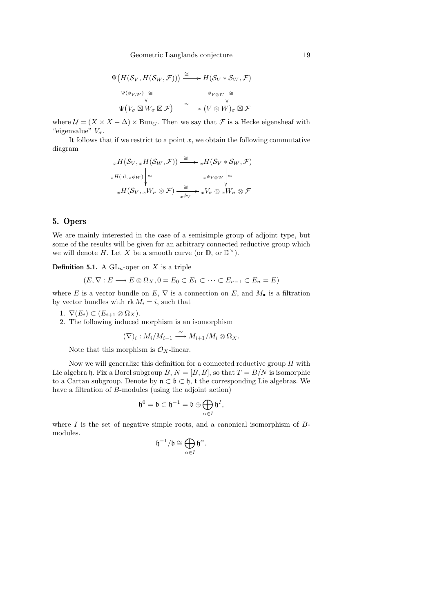$$
\Psi\big(H(\mathcal{S}_V, H(\mathcal{S}_W, \mathcal{F}))\big) \stackrel{\cong}{\longrightarrow} H(\mathcal{S}_V * \mathcal{S}_W, \mathcal{F})
$$
\n
$$
\Psi(\phi_{V,W}) \downarrow \cong \qquad \phi_{V \otimes W} \downarrow \cong
$$
\n
$$
\Psi\big(V_{\sigma} \boxtimes W_{\sigma} \boxtimes \mathcal{F}\big) \stackrel{\cong}{\longrightarrow} (V \otimes W)_{\sigma} \boxtimes \mathcal{F}
$$

where  $U = (X \times X - \Delta) \times \text{Bun}_G$ . Then we say that F is a Hecke eigensheaf with "eigenvalue"  $V_{\sigma}$ .

It follows that if we restrict to a point  $x$ , we obtain the following commutative diagram

$$
{}_{x}H(S_{V}, {}_{x}H(S_{W}, \mathcal{F})) \xrightarrow{\cong} {}_{x}H(S_{V} * S_{W}, \mathcal{F})
$$
  

$$
{}_{x}H(\mathrm{id}, {}_{x}\phi_{W}) \Big| \cong
$$
  

$$
{}_{x}H(S_{V}, {}_{x}W_{\sigma} \otimes \mathcal{F}) \xrightarrow{\cong} {}_{x}\phi_{V} \otimes {}_{x}W_{\sigma} \otimes \mathcal{F}
$$

## 5. Opers

We are mainly interested in the case of a semisimple group of adjoint type, but some of the results will be given for an arbitrary connected reductive group which we will denote H. Let X be a smooth curve (or  $\mathbb{D}$ , or  $\mathbb{D}^{\times}$ ).

**Definition 5.1.** A  $GL_n$ -oper on X is a triple

$$
(E, \nabla : E \longrightarrow E \otimes \Omega_X, 0 = E_0 \subset E_1 \subset \cdots \subset E_{n-1} \subset E_n = E)
$$

where E is a vector bundle on E,  $\nabla$  is a connection on E, and  $M_{\bullet}$  is a filtration by vector bundles with  $\mathrm{rk}\,M_i = i$ , such that

1.  $\nabla(E_i) \subset (E_{i+1} \otimes \Omega_X)$ .

2. The following induced morphism is an isomorphism

$$
(\nabla)_i: M_i/M_{i-1} \xrightarrow{\cong} M_{i+1}/M_i \otimes \Omega_X.
$$

Note that this morphism is  $\mathcal{O}_X$ -linear.

Now we will generalize this definition for a connected reductive group  $H$  with Lie algebra h. Fix a Borel subgroup  $B, N = [B, B]$ , so that  $T = B/N$  is isomorphic to a Cartan subgroup. Denote by  $\mathfrak{n} \subset \mathfrak{b} \subset \mathfrak{h}$ , t the corresponding Lie algebras. We have a filtration of B-modules (using the adjoint action)

$$
\mathfrak{h}^0=\mathfrak{b}\subset \mathfrak{h}^{-1}=\mathfrak{b}\oplus\bigoplus_{\alpha\in I}\mathfrak{h}^I,
$$

where  $I$  is the set of negative simple roots, and a canonical isomorphism of  $B$ modules.

$$
\mathfrak{h}^{-1}/\mathfrak{b}\cong \bigoplus_{\alpha\in I}\mathfrak{h}^\alpha.
$$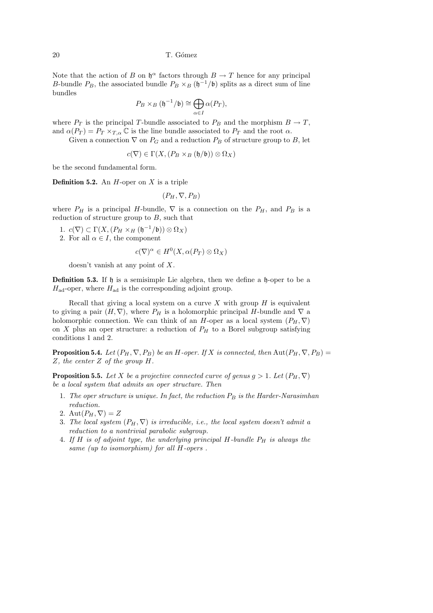Note that the action of B on  $\mathfrak{h}^{\alpha}$  factors through  $B \to T$  hence for any principal B-bundle  $P_B$ , the associated bundle  $P_B \times_B (\mathfrak{h}^{-1}/\mathfrak{b})$  splits as a direct sum of line bundles

$$
P_B\times_B ({\mathfrak{h}}^{-1}/{\mathfrak{b}})\cong \bigoplus_{\alpha\in I}\alpha(P_T),
$$

where  $P_T$  is the principal T-bundle associated to  $P_B$  and the morphism  $B \to T$ , and  $\alpha(P_T) = P_T \times_{T,\alpha} \mathbb{C}$  is the line bundle associated to  $P_T$  and the root  $\alpha$ .

Given a connection  $\nabla$  on  $P_G$  and a reduction  $P_B$  of structure group to B, let

$$
c(\nabla) \in \Gamma(X, (P_B \times_B (\mathfrak{h}/\mathfrak{b})) \otimes \Omega_X)
$$

be the second fundamental form.

**Definition 5.2.** An  $H$ -oper on  $X$  is a triple

$$
(P_H, \nabla, P_B)
$$

where  $P_H$  is a principal H-bundle,  $\nabla$  is a connection on the  $P_H$ , and  $P_B$  is a reduction of structure group to  $B$ , such that

- 1.  $c(\nabla) \subset \Gamma(X, (P_H \times_H (\mathfrak{h}^{-1}/\mathfrak{b})) \otimes \Omega_X)$
- 2. For all  $\alpha \in I$ , the component

$$
c(\nabla)^{\alpha} \in H^0(X, \alpha(P_T) \otimes \Omega_X)
$$

doesn't vanish at any point of X.

**Definition 5.3.** If h is a semisimple Lie algebra, then we define a h-oper to be a  $H_{\text{ad}}$ -oper, where  $H_{\text{ad}}$  is the corresponding adjoint group.

Recall that giving a local system on a curve  $X$  with group  $H$  is equivalent to giving a pair  $(H, \nabla)$ , where  $P_H$  is a holomorphic principal H-bundle and  $\nabla$  a holomorphic connection. We can think of an H-oper as a local system  $(P_H, \nabla)$ on  $X$  plus an oper structure: a reduction of  $P_H$  to a Borel subgroup satisfying conditions 1 and 2.

**Proposition 5.4.** Let  $(P_H, \nabla, P_B)$  be an H-oper. If X is connected, then Aut $(P_H, \nabla, P_B)$  = Z, the center Z of the group H.

**Proposition 5.5.** Let X be a projective connected curve of genus  $g > 1$ . Let  $(P_H, \nabla)$ be a local system that admits an oper structure. Then

- 1. The oper structure is unique. In fact, the reduction  $P_B$  is the Harder-Narasimhan reduction.
- 2. Aut $(P_H, \nabla) = Z$
- 3. The local system  $(P_H, \nabla)$  is irreducible, i.e., the local system doesn't admit a reduction to a nontrivial parabolic subgroup.
- 4. If H is of adjoint type, the underlying principal H-bundle  $P_H$  is always the same (up to isomorphism) for all H-opers.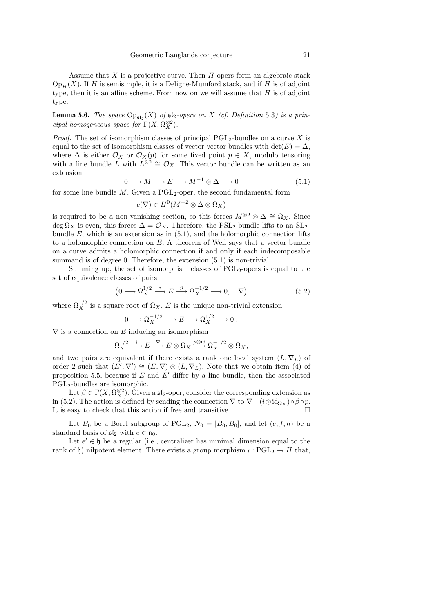Assume that  $X$  is a projective curve. Then  $H$ -opers form an algebraic stack  $Op_H(X)$ . If H is semisimple, it is a Deligne-Mumford stack, and if H is of adjoint type, then it is an affine scheme. From now on we will assume that  $H$  is of adjoint type.

**Lemma 5.6.** The space  $\text{Op}_{\mathfrak{sl}_2}(X)$  of  $\mathfrak{sl}_2$ -opers on X (cf. Definition 5.3) is a principal homogeneous space for  $\Gamma(X, \Omega_X^{\otimes 2})$ .

*Proof.* The set of isomorphism classes of principal PGL<sub>2</sub>-bundles on a curve X is equal to the set of isomorphism classes of vector vector bundles with det $(E) = \Delta$ , where  $\Delta$  is either  $\mathcal{O}_X$  or  $\mathcal{O}_X(p)$  for some fixed point  $p \in X$ , modulo tensoring with a line bundle L with  $L^{\otimes 2} \cong \mathcal{O}_X$ . This vector bundle can be written as an extension

$$
0 \longrightarrow M \longrightarrow E \longrightarrow M^{-1} \otimes \Delta \longrightarrow 0 \tag{5.1}
$$

for some line bundle  $M$ . Given a PGL<sub>2</sub>-oper, the second fundamental form

$$
c(\nabla) \in H^0(M^{-2} \otimes \Delta \otimes \Omega_X)
$$

is required to be a non-vanishing section, so this forces  $M^{\otimes 2} \otimes \Delta \cong \Omega_X$ . Since deg  $\Omega_X$  is even, this forces  $\Delta = \mathcal{O}_X$ . Therefore, the PSL<sub>2</sub>-bundle lifts to an SL<sub>2</sub>bundle  $E$ , which is an extension as in  $(5.1)$ , and the holomorphic connection lifts to a holomorphic connection on  $E$ . A theorem of Weil says that a vector bundle on a curve admits a holomorphic connection if and only if each indecomposable summand is of degree 0. Therefore, the extension  $(5.1)$  is non-trivial.

Summing up, the set of isomorphism classes of  $PGL<sub>2</sub>$ -opers is equal to the set of equivalence classes of pairs

$$
\left(0 \longrightarrow \Omega_X^{1/2} \stackrel{i}{\longrightarrow} E \stackrel{p}{\longrightarrow} \Omega_X^{-1/2} \longrightarrow 0, \quad \nabla\right) \tag{5.2}
$$

where  $\Omega_X^{1/2}$  is a square root of  $\Omega_X$ , E is the unique non-trivial extension

$$
0 \longrightarrow \Omega_X^{-1/2} \longrightarrow E \longrightarrow \Omega_X^{1/2} \longrightarrow 0 ,
$$

 $\nabla$  is a connection on E inducing an isomorphism

$$
\Omega_X^{1/2} \xrightarrow{i} E \xrightarrow{\nabla} E \otimes \Omega_X \xrightarrow{p \otimes \mathrm{id}} \Omega_X^{-1/2} \otimes \Omega_X,
$$

and two pairs are equivalent if there exists a rank one local system  $(L, \nabla_L)$  of order 2 such that  $(E', \nabla') \cong (E, \nabla) \otimes (L, \nabla_L)$ . Note that we obtain item (4) of proposition 5.5, because if  $E$  and  $E'$  differ by a line bundle, then the associated PGL2-bundles are isomorphic.

Let  $\beta \in \Gamma(X, \Omega_X^{\otimes 2})$ . Given a  $\mathfrak{sl}_2$ -oper, consider the corresponding extension as in (5.2). The action is defined by sending the connection  $\nabla$  to  $\nabla + (i \otimes id_{\Omega_X}) \circ \beta \circ p$ . It is easy to check that this action if free and transitive.

Let  $B_0$  be a Borel subgroup of PGL<sub>2</sub>,  $N_0 = [B_0, B_0]$ , and let  $(e, f, h)$  be a standard basis of  $\mathfrak{sl}_2$  with  $e \in \mathfrak{n}_0$ .

Let  $e' \in \mathfrak{h}$  be a regular (i.e., centralizer has minimal dimension equal to the rank of h) nilpotent element. There exists a group morphism  $\iota : \text{PGL}_2 \to H$  that,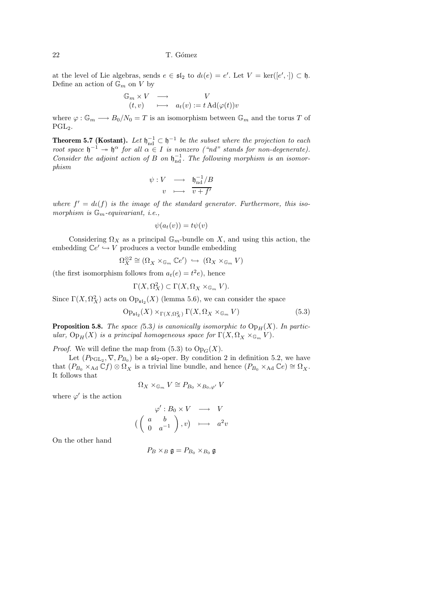at the level of Lie algebras, sends  $e \in \mathfrak{sl}_2$  to  $d\iota(e) = e'$ . Let  $V = \ker([e', \cdot]) \subset \mathfrak{h}$ . Define an action of  $\mathbb{G}_m$  on  $V$  by

$$
\begin{array}{ccc}\n\mathbb{G}_m \times V & \longrightarrow & V \\
(t, v) & \longmapsto & a_t(v) := t \operatorname{Ad}(\varphi(t))v\n\end{array}
$$

where  $\varphi : \mathbb{G}_m \longrightarrow B_0/N_0 = T$  is an isomorphism between  $\mathbb{G}_m$  and the torus T of  $PGL<sub>2</sub>$ .

**Theorem 5.7 (Kostant).** Let  $\mathfrak{h}_{\text{nd}}^{-1} \subset \mathfrak{h}^{-1}$  be the subset where the projection to each root space  $\mathfrak{h}^{-1} \to \mathfrak{h}^{\alpha}$  for all  $\alpha \in I$  is nonzero ("nd" stands for non-degenerate). Consider the adjoint action of B on  $\mathfrak{h}_{\rm nd}^{-1}$ . The following morphism is an isomorphism

$$
\begin{array}{rcl}\n\psi: V & \longrightarrow & \mathfrak{h}_{\mathrm{nd}}^{-1}/B \\
v & \longmapsto & \overline{v+f'}\n\end{array}
$$

where  $f' = d\iota(f)$  is the image of the standard generator. Furthermore, this isomorphism is  $\mathbb{G}_m$ -equivariant, *i.e.*,

$$
\psi(a_t(v)) = t\psi(v)
$$

Considering  $\Omega_X$  as a principal  $\mathbb{G}_m$ -bundle on X, and using this action, the embedding  $\mathbb{C}e' \hookrightarrow V$  produces a vector bundle embedding

$$
\Omega_X^{\otimes 2} \cong (\Omega_X \times_{\mathbb{G}_m} \mathbb{C}e') \hookrightarrow (\Omega_X \times_{\mathbb{G}_m} V)
$$

(the first isomorphism follows from  $a_t(e) = t^2 e$ ), hence

$$
\Gamma(X,\Omega^2_X)\subset \Gamma(X,\Omega_X\times_{\mathbb{G}_m}V).
$$

Since  $\Gamma(X, \Omega_X^2)$  acts on  $\text{Op}_{\mathfrak{sl}_2}(X)$  (lemma 5.6), we can consider the space

$$
\mathrm{Op}_{\mathfrak{sl}_2}(X) \times_{\Gamma(X,\Omega_X^2)} \Gamma(X,\Omega_X \times_{\mathbb{G}_m} V) \tag{5.3}
$$

**Proposition 5.8.** The space (5.3) is canonically isomorphic to  $Op_H(X)$ . In particular,  $Op_H(X)$  is a principal homogeneous space for  $\Gamma(X, \Omega_X \times_{\mathbb{G}_m} V)$ .

*Proof.* We will define the map from  $(5.3)$  to  $Op_G(X)$ .

Let  $(P_{\text{PGL}_2}, \nabla, P_{B_0})$  be a  $\mathfrak{sl}_2$ -oper. By condition 2 in definition 5.2, we have that  $(P_{B_0} \times_{\text{Ad}} \mathbb{C}f) \otimes \Omega_X$  is a trivial line bundle, and hence  $(P_{B_0} \times_{\text{Ad}} \mathbb{C}e) \cong \Omega_X$ . It follows that

$$
\Omega_X \times_{\mathbb{G}_m} V \cong P_{B_0} \times_{B_0, \varphi'} V
$$

where  $\varphi'$  is the action

$$
\varphi': B_0 \times V \longrightarrow V
$$
  

$$
\left(\begin{array}{cc} a & b \\ 0 & a^{-1} \end{array}\right), v) \longrightarrow a^2v
$$

On the other hand

$$
P_B \times_B \mathfrak{g} = P_{B_0} \times_{B_0} \mathfrak{g}
$$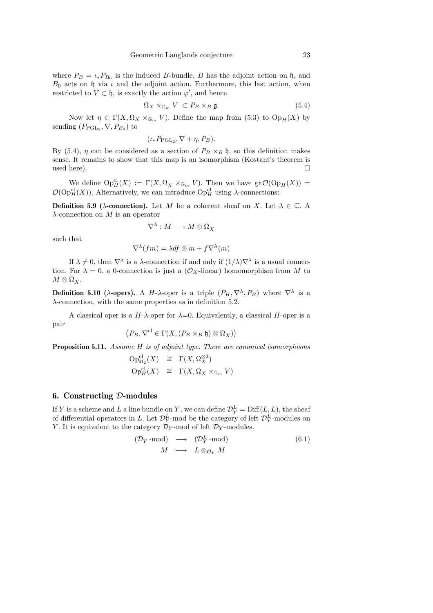where  $P_B = \iota_* P_{B_0}$  is the induced B-bundle, B has the adjoint action on h, and  $B_0$  acts on h via  $\iota$  and the adjoint action. Furthermore, this last action, when restricted to  $V \subset \mathfrak{h}$ , is exactly the action  $\varphi'$ , and hence

$$
\Omega_X \times_{\mathbb{G}_m} V \subset P_B \times_B \mathfrak{g}. \tag{5.4}
$$

Now let  $\eta \in \Gamma(X, \Omega_X \times_{\mathbb{G}_m} V)$ . Define the map from (5.3) to  $Op_H(X)$  by sending  $(P_{\text{PGL}_2}, \nabla, P_{B_0})$  to

$$
(\iota_* P_{\mathrm{PGL}_2}, \nabla + \eta, P_B).
$$

By (5.4),  $\eta$  can be considered as a section of  $P_B \times_B \mathfrak{h}$ , so this definition makes sense. It remains to show that this map is an isomorphism (Kostant's theorem is used here).  $\Box$ 

We define  $Op_H^{\text{cl}}(X) := \Gamma(X, \Omega_X \times_{\mathbb{G}_m} V)$ . Then we have  $\text{gr } \mathcal{O}(Op_H(X)) =$  $\mathcal{O}(\mathrm{Op}^{\mathrm{cl}}_H(X))$ . Alternatively, we can introduce  $\mathrm{Op}^{\mathrm{cl}}_H$  using  $\lambda$ -connections:

**Definition 5.9** ( $\lambda$ -connection). Let M be a coherent sheaf on X. Let  $\lambda \in \mathbb{C}$ . A  $\lambda$ -connection on M is an operator

$$
\nabla^\lambda: M \longrightarrow M \otimes \Omega_X
$$

such that

$$
\nabla^{\lambda}(fm) = \lambda df \otimes m + f \nabla^{\lambda}(m)
$$

If  $\lambda \neq 0$ , then  $\nabla^{\lambda}$  is a  $\lambda$ -connection if and only if  $(1/\lambda)\nabla^{\lambda}$  is a usual connection. For  $\lambda = 0$ , a 0-connection is just a  $(\mathcal{O}_X$ -linear) homomorphism from M to  $M \otimes \Omega_X$ .

**Definition 5.10** ( $\lambda$ -opers). A H- $\lambda$ -oper is a triple  $(P_H, \nabla^{\lambda}, P_B)$  where  $\nabla^{\lambda}$  is a λ-connection, with the same properties as in definition 5.2.

A classical oper is a  $H$ - $\lambda$ -oper for  $\lambda=0$ . Equivalently, a classical H-oper is a pair

$$
\left(P_B,\nabla^{\mathrm{cl}}\in\Gamma(X,(P_B\times_B{\mathfrak h})\otimes\Omega_X)\right)
$$

Proposition 5.11. Assume H is of adjoint type. There are canonical isomorphisms

$$
\begin{array}{rcl}\n\text{Op}_{\mathfrak{sl}_2}^{\text{cl}}(X) & \cong & \Gamma(X, \Omega_X^{\otimes 2}) \\
\text{Op}_H^{\text{cl}}(X) & \cong & \Gamma(X, \Omega_X \times_{\mathbb{G}_m} V)\n\end{array}
$$

## 6. Constructing D-modules

If Y is a scheme and L a line bundle on Y, we can define  $\mathcal{D}_Y^L = \mathrm{Diff}(L, L)$ , the sheaf of differential operators in L. Let  $\mathcal{D}_Y^L$ -mod be the category of left  $\mathcal{D}_Y^L$ -modules on Y. It is equivalent to the category  $\mathcal{D}_Y$ -mod of left  $\mathcal{D}_Y$ -modules.

$$
\begin{array}{rcl}\n(\mathcal{D}_Y\text{-mod}) & \longrightarrow & (\mathcal{D}_Y^L\text{-mod}) \\
M & \longmapsto & L \otimes_{\mathcal{O}_Y} M\n\end{array} \tag{6.1}
$$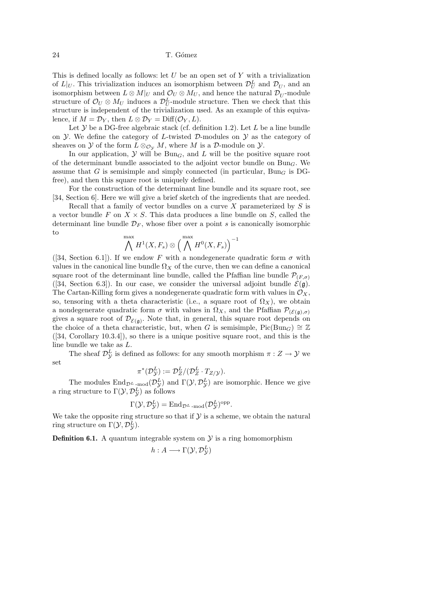This is defined locally as follows: let  $U$  be an open set of  $Y$  with a trivialization of  $L|_U$ . This trivialization induces an isomorphism between  $\mathcal{D}_U^L$  and  $\mathcal{D}_U$ , and an isomorphism between  $L \otimes M|_U$  and  $\mathcal{O}_U \otimes M_U$ , and hence the natural  $\mathcal{D}_U$ -module structure of  $\mathcal{O}_U \otimes M_U$  induces a  $\mathcal{D}_U^L$ -module structure. Then we check that this structure is independent of the trivialization used. As an example of this equivalence, if  $M = \mathcal{D}_Y$ , then  $L \otimes \mathcal{D}_Y = \text{Diff}(\mathcal{O}_Y, L)$ .

Let  $\mathcal Y$  be a DG-free algebraic stack (cf. definition 1.2). Let  $L$  be a line bundle on  $\mathcal Y$ . We define the category of L-twisted D-modules on  $\mathcal Y$  as the category of sheaves on  $\mathcal Y$  of the form  $L \otimes_{\mathcal O_{\mathcal Y}} M$ , where M is a  $\mathcal D$ -module on  $\mathcal Y$ .

In our application,  $\mathcal Y$  will be  $Bun_G$ , and  $L$  will be the positive square root of the determinant bundle associated to the adjoint vector bundle on  $Bun_G$ . We assume that G is semisimple and simply connected (in particular,  $Bun<sub>G</sub>$  is DGfree), and then this square root is uniquely defined.

For the construction of the determinant line bundle and its square root, see [34, Section 6]. Here we will give a brief sketch of the ingredients that are needed.

Recall that a family of vector bundles on a curve X parameterized by  $S$  is a vector bundle F on  $X \times S$ . This data produces a line bundle on S, called the determinant line bundle  $\mathcal{D}_F$ , whose fiber over a point s is canonically isomorphic to

$$
\bigwedge^{\max} H^1(X, F_s) \otimes \Big( \bigwedge^{\max} H^0(X, F_s) \Big)^{-1}
$$

([34, Section 6.1]). If we endow F with a nondegenerate quadratic form  $\sigma$  with values in the canonical line bundle  $\Omega_X$  of the curve, then we can define a canonical square root of the determinant line bundle, called the Pfaffian line bundle  $\mathcal{P}_{(F,\sigma)}$ ([34, Section 6.3]). In our case, we consider the universal adjoint bundle  $\mathcal{E}(\mathfrak{g})$ . The Cartan-Killing form gives a nondegenerate quadratic form with values in  $\mathcal{O}_X$ , so, tensoring with a theta characteristic (i.e., a square root of  $\Omega_X$ ), we obtain a nondegenerate quadratic form  $\sigma$  with values in  $\Omega_X$ , and the Pfaffian  $\mathcal{P}_{(\mathcal{E}(\mathfrak{g}),\sigma)}$ gives a square root of  $\mathcal{D}_{\mathcal{E}(\mathfrak{g})}$ . Note that, in general, this square root depends on the choice of a theta characteristic, but, when G is semisimple, Pic(Bun<sub>G</sub>)  $\cong \mathbb{Z}$ ([34, Corollary 10.3.4]), so there is a unique positive square root, and this is the line bundle we take as L.

The sheaf  $\mathcal{D}_{\mathcal{Y}}^L$  is defined as follows: for any smooth morphism  $\pi: Z \to Y$  we set

$$
\pi^*(\mathcal{D}_{\mathcal{Y}}^L) := \mathcal{D}_Z^L / (\mathcal{D}_Z^L \cdot T_{Z/\mathcal{Y}}).
$$

The modules  $\text{End}_{\mathcal{D}^L\text{-}\mathrm{mod}}(\mathcal{D}_{\mathcal{Y}}^L)$  and  $\Gamma(\mathcal{Y}, \mathcal{D}_{\mathcal{Y}}^L)$  are isomorphic. Hence we give a ring structure to  $\Gamma(\mathcal{Y}, \mathcal{D}_{\mathcal{Y}}^L)$  as follows

$$
\Gamma(\mathcal{Y}, \mathcal{D}_{\mathcal{Y}}^{L}) = \text{End}_{\mathcal{D}^{L} \text{-}\mathrm{mod}}(\mathcal{D}_{\mathcal{Y}}^{L})^{\text{opp}}.
$$

We take the opposite ring structure so that if  $\mathcal Y$  is a scheme, we obtain the natural ring structure on  $\Gamma(\mathcal{Y}, \mathcal{D}_{\mathcal{Y}}^{L})$ .

**Definition 6.1.** A quantum integrable system on  $\mathcal{Y}$  is a ring homomorphism

$$
h:A\longrightarrow \Gamma(\mathcal{Y},\mathcal{D}_{\mathcal{Y}}^{L})
$$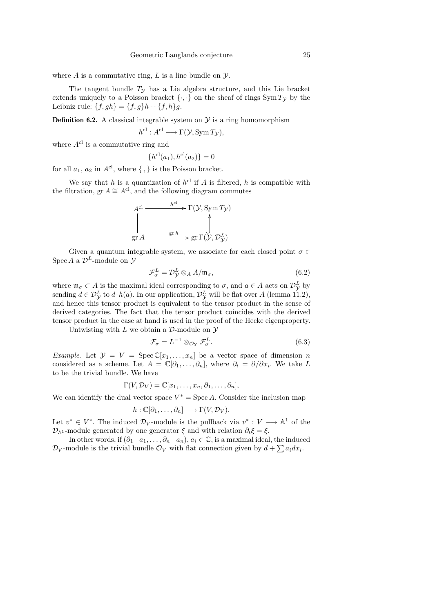where  $A$  is a commutative ring,  $L$  is a line bundle on  $\mathcal{Y}$ .

The tangent bundle  $T<sub>y</sub>$  has a Lie algebra structure, and this Lie bracket extends uniquely to a Poisson bracket  $\{\cdot,\cdot\}$  on the sheaf of rings Sym  $T_y$  by the Leibniz rule:  $\{f, gh\} = \{f, g\}h + \{f, h\}g$ .

**Definition 6.2.** A classical integrable system on  $\mathcal{Y}$  is a ring homomorphism

$$
h^{\text{cl}}: A^{\text{cl}} \longrightarrow \Gamma(\mathcal{Y}, \text{Sym}\, T_{\mathcal{Y}}),
$$

where  $A^{cl}$  is a commutative ring and

$$
\{h^{\rm cl}(a_1), h^{\rm cl}(a_2)\}=0
$$

for all  $a_1, a_2$  in  $A^{cl}$ , where  $\{\, ,\}$  is the Poisson bracket.

We say that h is a quantization of  $h^{cl}$  if A is filtered, h is compatible with the filtration, gr  $A \cong A^{cl}$ , and the following diagram commutes



Given a quantum integrable system, we associate for each closed point  $\sigma \in$ Spec A a  $\mathcal{D}^L$ -module on  $\mathcal Y$ 

$$
\mathcal{F}_{\sigma}^{L} = \mathcal{D}_{\mathcal{Y}}^{L} \otimes_{A} A/\mathfrak{m}_{\sigma},\tag{6.2}
$$

where  $\mathfrak{m}_{\sigma} \subset A$  is the maximal ideal corresponding to  $\sigma$ , and  $a \in A$  acts on  $\mathcal{D}_{\mathcal{Y}}^{L}$  by sending  $d \in \mathcal{D}_{\mathcal{Y}}^{L}$  to  $d \cdot h(a)$ . In our application,  $\mathcal{D}_{\mathcal{Y}}^{L}$  will be flat over A (lemma 11.2), and hence this tensor product is equivalent to the tensor product in the sense of derived categories. The fact that the tensor product coincides with the derived tensor product in the case at hand is used in the proof of the Hecke eigenproperty.

Untwisting with  $L$  we obtain a  $\mathcal{D}$ -module on  $\mathcal{Y}$ 

$$
\mathcal{F}_{\sigma} = L^{-1} \otimes_{\mathcal{O}_Y} \mathcal{F}_{\sigma}^L.
$$
\n(6.3)

*Example.* Let  $\mathcal{Y} = V = \text{Spec } \mathbb{C}[x_1, \ldots, x_n]$  be a vector space of dimension n considered as a scheme. Let  $A = \mathbb{C}[\partial_1, \ldots, \partial_n]$ , where  $\partial_i = \partial/\partial x_i$ . We take L to be the trivial bundle. We have

$$
\Gamma(V, \mathcal{D}_V) = \mathbb{C}[x_1, \ldots, x_n, \partial_1, \ldots, \partial_n],
$$

We can identify the dual vector space  $V^* = \text{Spec } A$ . Consider the inclusion map

$$
h:\mathbb{C}[\partial_1,\ldots,\partial_n]\longrightarrow \Gamma(V,\mathcal{D}_V).
$$

Let  $v^* \in V^*$ . The induced  $\mathcal{D}_V$ -module is the pullback via  $v^* : V \longrightarrow \mathbb{A}^1$  of the  $\mathcal{D}_{\mathbb{A}^1}$ -module generated by one generator  $\xi$  and with relation  $\partial_t \xi = \xi$ .

In other words, if  $(\partial_1 - a_1, \ldots, \partial_n - a_n)$ ,  $a_i \in \mathbb{C}$ , is a maximal ideal, the induced  $\mathcal{D}_V$ -module is the trivial bundle  $\mathcal{O}_V$  with flat connection given by  $d + \sum a_i dx_i$ .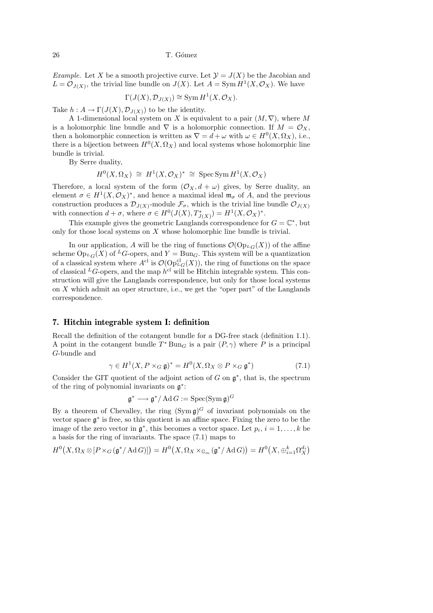*Example.* Let X be a smooth projective curve. Let  $\mathcal{Y} = J(X)$  be the Jacobian and  $L = \mathcal{O}_{J(X)}$ , the trivial line bundle on  $J(X)$ . Let  $A = \text{Sym } H^1(X, \mathcal{O}_X)$ . We have

$$
\Gamma(J(X), \mathcal{D}_{J(X)}) \cong \text{Sym } H^1(X, \mathcal{O}_X).
$$

Take  $h: A \to \Gamma(J(X), \mathcal{D}_{J(X)})$  to be the identity.

A 1-dimensional local system on X is equivalent to a pair  $(M, \nabla)$ , where M is a holomorphic line bundle and  $\nabla$  is a holomorphic connection. If  $M = \mathcal{O}_X$ , then a holomorphic connection is written as  $\nabla = d + \omega$  with  $\omega \in H^0(X, \Omega_X)$ , i.e., there is a bijection between  $H^0(X, \Omega_X)$  and local systems whose holomorphic line bundle is trivial.

By Serre duality,

$$
H^0(X, \Omega_X) \cong H^1(X, \mathcal{O}_X)^* \cong \operatorname{Spec} \operatorname{Sym} H^1(X, \mathcal{O}_X)
$$

Therefore, a local system of the form  $(\mathcal{O}_X, d + \omega)$  gives, by Serre duality, an element  $\sigma \in H^1(X, \mathcal{O}_X)^*$ , and hence a maximal ideal  $\mathfrak{m}_{\sigma}$  of A, and the previous construction produces a  $\mathcal{D}_{J(X)}$ -module  $\mathcal{F}_{\sigma}$ , which is the trivial line bundle  $\mathcal{O}_{J(X)}$ with connection  $d + \sigma$ , where  $\sigma \in H^0(J(X), T^*_{J(X)}) = H^1(X, \mathcal{O}_X)^*$ .

This example gives the geometric Langlands correspondence for  $G = \mathbb{C}^*$ , but only for those local systems on X whose holomorphic line bundle is trivial.

In our application, A will be the ring of functions  $\mathcal{O}(\mathrm{Op}_{L}(\mathbf{X}))$  of the affine scheme  $Op_{L_G}(X)$  of <sup>L</sup>G-opers, and Y = Bun<sub>G</sub>. This system will be a quantization of a classical system where  $A^{cl}$  is  $\mathcal{O}(\text{Op}^{cl}_{L_G}(X))$ , the ring of functions on the space of classical  ${}^L G$ -opers, and the map  $h^{cl}$  will be Hitchin integrable system. This construction will give the Langlands correspondence, but only for those local systems on  $X$  which admit an oper structure, i.e., we get the "oper part" of the Langlands correspondence.

## 7. Hitchin integrable system I: definition

Recall the definition of the cotangent bundle for a DG-free stack (definition 1.1). A point in the cotangent bundle  $T^*$ Bun<sub>G</sub> is a pair  $(P, \gamma)$  where P is a principal G-bundle and

$$
\gamma \in H^1(X, P \times_G \mathfrak{g})^* = H^0(X, \Omega_X \otimes P \times_G \mathfrak{g}^*)
$$
\n
$$
(7.1)
$$

Consider the GIT quotient of the adjoint action of  $G$  on  $\mathfrak{g}^*$ , that is, the spectrum of the ring of polynomial invariants on  $\mathfrak{g}^*$ :

$$
\mathfrak{g}^* \longrightarrow \mathfrak{g}^*/\operatorname{Ad}G := \operatorname{Spec}(\operatorname{Sym} \mathfrak{g})^G
$$

By a theorem of Chevalley, the ring  $(\text{Sym}\,\mathfrak{g})^G$  of invariant polynomials on the vector space  $\mathfrak{g}^*$  is free, so this quotient is an affine space. Fixing the zero to be the image of the zero vector in  $\mathfrak{g}^*$ , this becomes a vector space. Let  $p_i$ ,  $i = 1, ..., k$  be a basis for the ring of invariants. The space (7.1) maps to

$$
H^0(X, \Omega_X\otimes [P\times_G(\mathfrak{g}^*/\operatorname{Ad}G)])=H^0\big(X, \Omega_X\times_{\mathbb{G}_m}(\mathfrak{g}^*/\operatorname{Ad}G)\big)=H^0\big(X, \oplus_{i=1}^k \Omega_X^{d_i}\big)
$$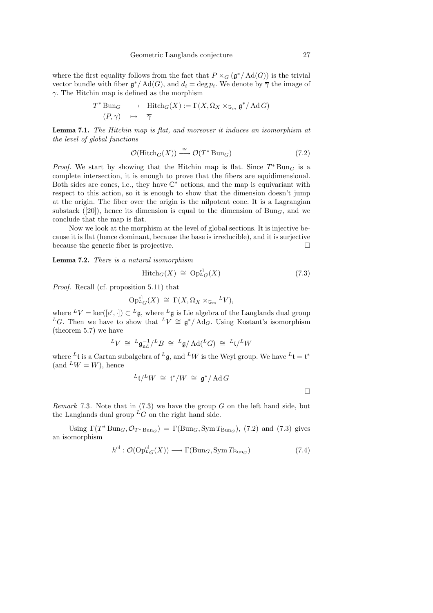where the first equality follows from the fact that  $P \times_G (\mathfrak{g}^*/\mathrm{Ad}(G))$  is the trivial vector bundle with fiber  $\mathfrak{g}^*/\mathrm{Ad}(G)$ , and  $d_i = \deg p_i$ . We denote by  $\overline{\gamma}$  the image of  $\gamma$ . The Hitchin map is defined as the morphism

$$
T^* \operatorname{Bun}_G \longrightarrow \operatorname{Hitch}_G(X) := \Gamma(X, \Omega_X \times_{\mathbb{G}_m} \mathfrak{g}^* / \operatorname{Ad} G)
$$
  

$$
(P, \gamma) \longrightarrow \overline{\gamma}
$$

Lemma 7.1. The Hitchin map is flat, and moreover it induces an isomorphism at the level of global functions

$$
\mathcal{O}(\text{Hitch}_G(X)) \stackrel{\cong}{\longrightarrow} \mathcal{O}(T^* \text{Bun}_G) \tag{7.2}
$$

*Proof.* We start by showing that the Hitchin map is flat. Since  $T^*$  Bun<sub>G</sub> is a complete intersection, it is enough to prove that the fibers are equidimensional. Both sides are cones, i.e., they have  $\mathbb{C}^*$  actions, and the map is equivariant with respect to this action, so it is enough to show that the dimension doesn't jump at the origin. The fiber over the origin is the nilpotent cone. It is a Lagrangian substack ([20]), hence its dimension is equal to the dimension of  $Bun<sub>G</sub>$ , and we conclude that the map is flat.

Now we look at the morphism at the level of global sections. It is injective because it is flat (hence dominant, because the base is irreducible), and it is surjective because the generic fiber is projective.

Lemma 7.2. There is a natural isomorphism

$$
Hitch_G(X) \cong Op_{^LG}^{cl}(X) \tag{7.3}
$$

Proof. Recall (cf. proposition 5.11) that

$$
\mathrm{Op}_{^LG}^{\mathrm{cl}}(X) \,\,\cong\,\, \Gamma(X,\Omega_X\times_{\mathbb{G}_m}{}^L V),
$$

where  ${}^L V = \text{ker}([e', \cdot]) \subset {}^L \mathfrak{g}$ , where  ${}^L \mathfrak{g}$  is Lie algebra of the Langlands dual group <sup>L</sup>G. Then we have to show that <sup>L</sup>V ≅  $\mathfrak{g}^*/\text{Ad}_G$ . Using Kostant's isomorphism (theorem 5.7) we have

$$
{}^L V \;\cong\; {}^L\mathfrak{g}_{\mathrm{nd}}^{-1} / {}^L B \;\cong\; {}^L\mathfrak{g} / \operatorname{Ad}( {}^L G) \;\cong\; {}^L\mathfrak{t} / {}^L W
$$

where  ${}^L\mathfrak{t}$  is a Cartan subalgebra of  ${}^L\mathfrak{g}$ , and  ${}^L W$  is the Weyl group. We have  ${}^L\mathfrak{t} = \mathfrak{t}^*$  $(and$   $^L W = W)$ , hence

$$
{}^L\mathfrak{t}/{}^L W \,\,\cong\,\, \mathfrak{t}^*/W \,\,\cong\,\, \mathfrak{g}^*/\mathop{\mathrm{Ad}}\nolimits G
$$

*Remark* 7.3. Note that in  $(7.3)$  we have the group G on the left hand side, but the Langlands dual group  ${}^L G$  on the right hand side.

Using  $\Gamma(T^* \text{Bun}_G, \mathcal{O}_{T^* \text{Bun}_G}) = \Gamma(\text{Bun}_G, \text{Sym} T_{\text{Bun}_G}),$  (7.2) and (7.3) gives an isomorphism

$$
h^{\text{cl}} : \mathcal{O}(\text{Op}^{\text{cl}}_{\mathcal{L}_G}(X)) \longrightarrow \Gamma(\text{Bun}_G, \text{Sym} \, T_{\text{Bun}_G}) \tag{7.4}
$$

 $\Box$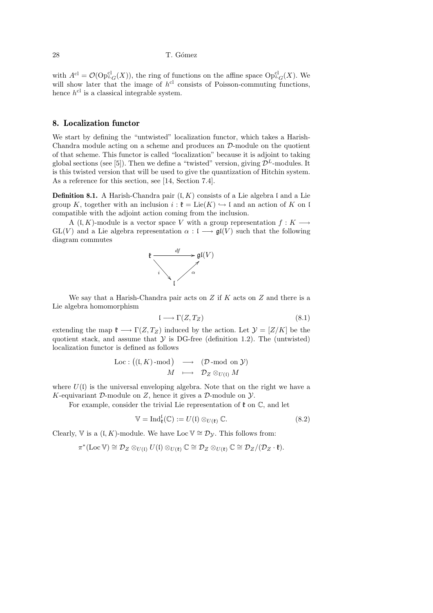with  $A^{cl} = \mathcal{O}(\text{Op}_{L_G}^{cl}(X))$ , the ring of functions on the affine space  $\text{Op}_{L_G}^{cl}(X)$ . We will show later that the image of  $h^{cl}$  consists of Poisson-commuting functions, hence  $h^{cl}$  is a classical integrable system.

# 8. Localization functor

We start by defining the "untwisted" localization functor, which takes a Harish-Chandra module acting on a scheme and produces an D-module on the quotient of that scheme. This functor is called "localization" because it is adjoint to taking global sections (see [5]). Then we define a "twisted" version, giving  $\mathcal{D}^{L}$ -modules. It is this twisted version that will be used to give the quantization of Hitchin system. As a reference for this section, see [14, Section 7.4].

**Definition 8.1.** A Harish-Chandra pair  $(L K)$  consists of a Lie algebra I and a Lie group K, together with an inclusion  $i : \mathfrak{k} = \text{Lie}(K) \hookrightarrow \mathfrak{l}$  and an action of K on l compatible with the adjoint action coming from the inclusion.

A (l, K)-module is a vector space V with a group representation  $f: K \longrightarrow$  $GL(V)$  and a Lie algebra representation  $\alpha : \mathfrak{l} \longrightarrow \mathfrak{gl}(V)$  such that the following diagram commutes



We say that a Harish-Chandra pair acts on  $Z$  if  $K$  acts on  $Z$  and there is a Lie algebra homomorphism

$$
I \longrightarrow \Gamma(Z, T_Z) \tag{8.1}
$$

extending the map  $\mathfrak{k} \longrightarrow \Gamma(Z, T_Z)$  induced by the action. Let  $\mathcal{Y} = [Z/K]$  be the quotient stack, and assume that  $\mathcal Y$  is DG-free (definition 1.2). The (untwisted) localization functor is defined as follows

$$
\begin{array}{ccc}\text{Loc} : \big((\mathfrak{l},K)\text{-mod}\big) & \longrightarrow & (\mathcal{D}\text{-mod on }\mathcal{Y})\\ & M & \longmapsto & \mathcal{D}_Z \otimes_{U(\mathfrak{l})} M\end{array}
$$

where  $U(1)$  is the universal enveloping algebra. Note that on the right we have a K-equivariant D-module on Z, hence it gives a D-module on  $\mathcal{Y}$ .

For example, consider the trivial Lie representation of  $\mathfrak k$  on  $\mathbb C$ , and let

$$
\mathbb{V} = \text{Ind}_{\mathfrak{k}}^{1}(\mathbb{C}) := U(\mathfrak{l}) \otimes_{U(\mathfrak{k})} \mathbb{C}.
$$
 (8.2)

Clearly, V is a  $(L, K)$ -module. We have Loc  $V \cong \mathcal{D}_V$ . This follows from:

 $\pi^*(\text{Loc}\,\mathbb{V}) \cong \mathcal{D}_Z \otimes_{U(1)} U(1) \otimes_{U(\mathfrak{k})} \mathbb{C} \cong \mathcal{D}_Z \otimes_{U(\mathfrak{k})} \mathbb{C} \cong \mathcal{D}_Z/(\mathcal{D}_Z \cdot \mathfrak{k}).$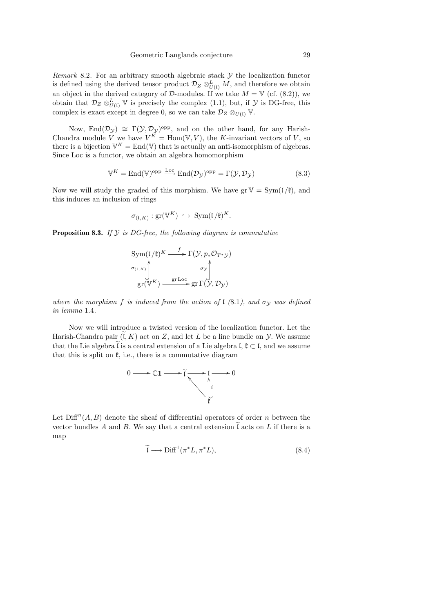Remark 8.2. For an arbitrary smooth algebraic stack  $\mathcal Y$  the localization functor is defined using the derived tensor product  $\mathcal{D}_Z \otimes^L_{U(1)} M$ , and therefore we obtain an object in the derived category of D-modules. If we take  $M = V$  (cf. (8.2)), we obtain that  $\mathcal{D}_Z \otimes_{U(1)}^L \mathbb{V}$  is precisely the complex (1.1), but, if  $\mathcal Y$  is DG-free, this complex is exact except in degree 0, so we can take  $\mathcal{D}_Z \otimes_{U(1)} \mathbb{V}$ .

Now, End $(\mathcal{D}_{\mathcal{Y}}) \cong \Gamma(\mathcal{Y}, \mathcal{D}_{\mathcal{Y}})^{\text{opp}}$ , and on the other hand, for any Harish-Chandra module V we have  $V^{\tilde{K}} = \text{Hom}(\mathbb{V}, V)$ , the K-invariant vectors of V, so there is a bijection  $\mathbb{V}^K = \text{End}(\mathbb{V})$  that is actually an anti-isomorphism of algebras. Since Loc is a functor, we obtain an algebra homomorphism

$$
\mathbb{V}^{K} = \text{End}(\mathbb{V})^{\text{opp}} \xrightarrow{\text{Loc}} \text{End}(\mathcal{D}_{\mathcal{Y}})^{\text{opp}} = \Gamma(\mathcal{Y}, \mathcal{D}_{\mathcal{Y}})
$$
(8.3)

Now we will study the graded of this morphism. We have  $gr V = Sym(I/\ell)$ , and this induces an inclusion of rings

$$
\sigma_{(\mathfrak{l},K)}:\mathrm{gr}(\mathbb{V}^K)\ \hookrightarrow\ \mathrm{Sym}(\mathfrak{l}/\mathfrak{k})^K.
$$

**Proposition 8.3.** If  $Y$  is DG-free, the following diagram is commutative

$$
\text{Sym}((1/\mathfrak{k})^K \xrightarrow{f} \Gamma(\mathcal{Y}, p_*\mathcal{O}_{T^*\mathcal{Y}})
$$
\n
$$
\sigma_{(1,K)} \uparrow \sigma_{\mathcal{Y}} \uparrow \sigma_{\mathcal{Y}} \uparrow
$$
\n
$$
\text{gr}(\mathbb{V}^K) \xrightarrow{\text{gr Loc}} \text{gr} \Gamma(\mathcal{Y}, \mathcal{D}_{\mathcal{Y}})
$$

where the morphism f is induced from the action of  $\mathfrak l$  (8.1), and  $\sigma_{\mathcal V}$  was defined in lemma 1.4.

Now we will introduce a twisted version of the localization functor. Let the Harish-Chandra pair  $(K, K)$  act on Z, and let L be a line bundle on Y. We assume that the Lie algebra  $\tilde{l}$  is a central extension of a Lie algebra l,  $\mathfrak{k} \subset \mathfrak{l}$ , and we assume that this is split on  $\mathfrak{k}$ , i.e., there is a commutative diagram



Let  $\text{Diff}^n(A, B)$  denote the sheaf of differential operators of order n between the vector bundles  $A$  and  $B$ . We say that a central extension  $\mathfrak l$  acts on  $L$  if there is a map

$$
\widetilde{\mathfrak{l}} \longrightarrow \text{Diff}^1(\pi^*L, \pi^*L), \tag{8.4}
$$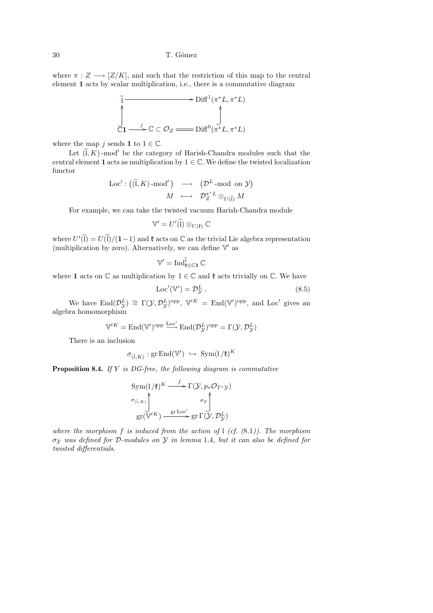#### 30 T. G´omez

where  $\pi: Z \longrightarrow [Z/K]$ , and such that the restriction of this map to the central element 1 acts by scalar multiplication, i.e., there is a commutative diagram

$$
\widetilde{C} \longrightarrow \text{Diff}^1(\pi^*L, \pi^*L)
$$
  

$$
\downarrow \qquad \qquad \downarrow
$$
  

$$
\downarrow \qquad \qquad \downarrow
$$
  

$$
\downarrow \qquad \qquad \downarrow
$$
  

$$
\downarrow \qquad \qquad \downarrow
$$
  

$$
\downarrow \qquad \qquad \downarrow
$$
  

$$
\downarrow \qquad \qquad \downarrow
$$
  

$$
\downarrow \qquad \qquad \downarrow
$$
  

$$
\downarrow \qquad \qquad \downarrow
$$
  

$$
\downarrow \qquad \qquad \downarrow
$$

where the map j sends 1 to  $1 \in \mathbb{C}$ .

Let  $(\widetilde{\mathfrak{l}},K)$ -mod' be the category of Harish-Chandra modules such that the central element 1 acts as multiplication by  $1 \in \mathbb{C}$ . We define the twisted localization functor

$$
\begin{array}{ccc} \mathrm{Loc}' : \big( (\widetilde{\mathfrak{l}}, K) \text{-mod}' \big) & \longrightarrow & \big( \mathcal{D}^L \text{-mod on } \mathcal{Y} \big) \\[2mm] M & \longmapsto & \mathcal{D}^{\pi^*L}_Z \otimes_{U(\widetilde{\mathfrak{l}})} M \end{array}
$$

For example, we can take the twisted vacuum Harish-Chandra module

$$
\mathbb{V}'=U'(\widetilde{\mathfrak{l}})\otimes_{U(\mathfrak{k})}\mathbb{C}
$$

where  $U'(\tilde{\mathfrak{l}}) = U(\tilde{\mathfrak{l}})/(1-1)$  and  $\mathfrak k$  acts on  $\mathbb C$  as the trivial Lie algebra representation (multiplication by zero). Alternatively, we can define  $\mathbb{V}'$  as

$$
\mathbb{V}'=\operatorname{Ind}_{\mathfrak{k}\oplus\mathbb{C}\mathbf{1}}^{\widetilde{\mathfrak{l}}}\mathbb{C}
$$

where 1 acts on  $\mathbb C$  as multiplication by  $1 \in \mathbb C$  and  $\mathfrak k$  acts trivially on  $\mathbb C$ . We have

$$
Loc'(\mathbb{V}') = \mathcal{D}_{\mathcal{Y}}^L.
$$
\n(8.5)

We have  $\text{End}(\mathcal{D}_{\mathcal{Y}}^L) \cong \Gamma(\mathcal{Y}, \mathcal{D}_{\mathcal{Y}}^L)^{\text{opp}}, \ \mathbb{V}^{\prime K} = \text{End}(\mathbb{V}')^{\text{opp}}, \text{ and } \text{Loc}' \text{ gives an}$ algebra homomorphism

$$
\mathbb{V}'^K = \mathrm{End}(\mathbb{V}')^{\mathrm{opp}} \xrightarrow{\mathrm{Loc'}} \mathrm{End}(\mathcal{D}^L_{\mathcal{Y}})^{\mathrm{opp}} = \Gamma(\mathcal{Y}, \mathcal{D}^L_{\mathcal{Y}})
$$

There is an inclusion

$$
\sigma_{(\tilde{\mathbf{L}},K)} : \text{gr} \, \text{End}(\mathbb{V}') \hookrightarrow \text{Sym}(\mathfrak{l}/\mathfrak{k})^K
$$

**Proposition 8.4.** If  $Y$  is DG-free, the following diagram is commutative

$$
\text{Sym}(\mathfrak{l}/\mathfrak{k})^K \xrightarrow{f} \Gamma(\mathcal{Y}, p_* \mathcal{O}_{T^* \mathcal{Y}})
$$
\n
$$
\sigma_{(\tilde{\mathfrak{l}}, K)} \uparrow \sigma_{\mathcal{Y}} \uparrow \sigma_{\mathcal{Y}}
$$
\n
$$
\text{gr}(\mathbb{V}'^K) \xrightarrow{\text{gr} \operatorname{Loc}'} \text{gr} \Gamma(\mathcal{Y}, \mathcal{D}_{\mathcal{Y}}^L)
$$

where the morphism f is induced from the action of  $\ell$  (cf. (8.1)). The morphism σ<sup>Y</sup> was defined for D-modules on Y in lemma 1.4, but it can also be defined for twisted differentials.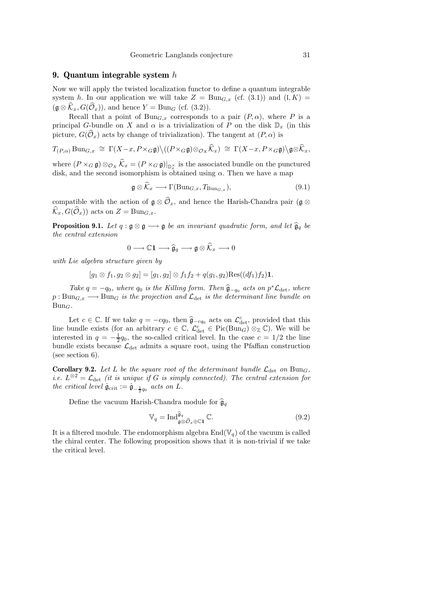## 9. Quantum integrable system h

Now we will apply the twisted localization functor to define a quantum integrable system h. In our application we will take  $Z = \text{Bun}_{G,x}$  (cf. (3.1)) and  $(I, K) =$  $(\mathfrak{g} \otimes \widehat{K}_x, G(\widehat{\mathcal{O}}_x))$ , and hence  $Y = \text{Bun}_G$  (cf. (3.2)).

Recall that a point of  $Bun_{G,x}$  corresponds to a pair  $(P, \alpha)$ , where P is a principal G-bundle on X and  $\alpha$  is a trivialization of P on the disk  $\mathbb{D}_x$  (in this picture,  $G(\widehat{\mathcal{O}}_x)$  acts by change of trivialization). The tangent at  $(P, \alpha)$  is

$$
T_{(P,\alpha)} \operatorname{Bun}_{G,x} \cong \Gamma(X-x, P \times_G \mathfrak{g}) \setminus ((P \times_G \mathfrak{g}) \otimes_{\mathcal{O}_X} \widehat{\mathcal{K}}_x) \cong \Gamma(X-x, P \times_G \mathfrak{g}) \setminus \mathfrak{g} \otimes \widehat{\mathcal{K}}_x,
$$

where  $(P \times_G \mathfrak{g}) \otimes_{\mathcal{O}_X} \mathcal{K}_x = (P \times_G \mathfrak{g})|_{\mathbb{D}_x^{\times}}$  is the associated bundle on the punctured disk, and the second isomorphism is obtained using  $\alpha$ . Then we have a map

$$
\mathfrak{g} \otimes \mathcal{K}_x \longrightarrow \Gamma(\mathrm{Bun}_{G,x}, T_{\mathrm{Bun}_{G,x}}),\tag{9.1}
$$

compatible with the action of  $\mathfrak{g} \otimes \widehat{O}_x$ , and hence the Harish-Chandra pair ( $\mathfrak{g} \otimes$  $\widehat{\mathcal{K}}_x, G(\widehat{\mathcal{O}}_x)$  acts on  $Z = \text{Bun}_{G,x}$ .

**Proposition 9.1.** Let  $q : \mathfrak{g} \otimes \mathfrak{g} \longrightarrow \mathfrak{g}$  be an invariant quadratic form, and let  $\hat{\mathfrak{g}}_q$  be the central extension

$$
0 \longrightarrow \mathbb{C} \mathbf{1} \longrightarrow \widehat{\mathfrak{g}}_q \longrightarrow \mathfrak{g} \otimes \widehat{\mathcal{K}}_x \longrightarrow 0
$$

with Lie algebra structure given by

$$
[g_1 \otimes f_1, g_2 \otimes g_2] = [g_1, g_2] \otimes f_1 f_2 + q(g_1, g_2) \text{Res}((df_1) f_2) \mathbf{1}.
$$

Take  $q = -q_0$ , where  $q_0$  is the Killing form. Then  $\hat{\mathfrak{g}}_{-q_0}$  acts on  $p^*\mathcal{L}_{\text{det}}$ , where  $p: Bun_{G,x}\longrightarrow Bun_G$  is the projection and  $\mathcal{L}_{\text{det}}$  is the determinant line bundle on  $Bun_G$ .

Let  $c \in \mathbb{C}$ . If we take  $q = -cq_0$ , then  $\hat{g}_{-cq_0}$  acts on  $\mathcal{L}_{det}^c$  provided that this line bundle exists (for an arbitrary  $c \in \mathbb{C}$ ,  $\mathcal{L}_{\text{det}}^c \in \text{Pic}(\text{Bun}_G) \otimes_{\mathbb{Z}} \mathbb{C}$ ). We will be interested in  $q = -\frac{1}{2}q_0$ , the so-called critical level. In the case  $c = 1/2$  the line bundle exists because  $\mathcal{L}_{\text{det}}$  admits a square root, using the Pfaffian construction (see section 6).

**Corollary 9.2.** Let L be the square root of the determinant bundle  $\mathcal{L}_{\text{det}}$  on Bun<sub>G</sub>, *i.e.*  $L^{\otimes 2} = \mathcal{L}_{\text{det}}$  (it is unique if G is simply connected). The central extension for the critical level  $\hat{\mathfrak{g}}_{\text{crit}} := \hat{\mathfrak{g}}_{-\frac{1}{2}q_0}$  acts on L.

Define the vacuum Harish-Chandra module for  $\hat{\mathfrak{g}}_q$ 

$$
\mathbb{V}_q = \operatorname{Ind}_{\mathfrak{g}\otimes\widehat{\mathcal{O}}_x\oplus\mathbb{C}\mathbf{1}}^{\widehat{\mathfrak{g}}_q} \mathbb{C}. \tag{9.2}
$$

It is a filtered module. The endomorphism algebra  $\text{End}(\mathbb{V}_q)$  of the vacuum is called the chiral center. The following proposition shows that it is non-trivial if we take the critical level.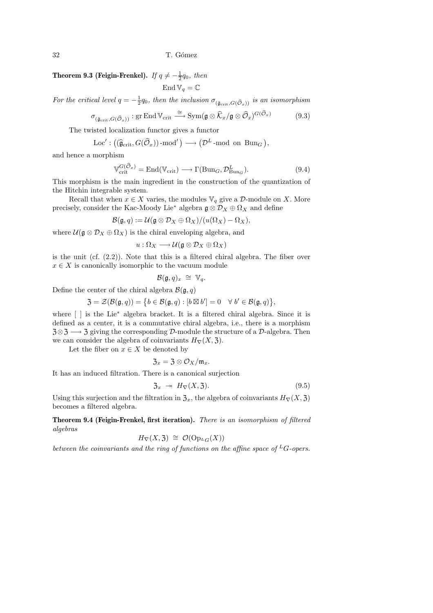**Theorem 9.3 (Feigin-Frenkel).** If  $q \neq -\frac{1}{2}q_0$ , then

End  $\mathbb{V}_q = \mathbb{C}$ 

For the critical level  $q=-\frac{1}{2}q_0$ , then the inclusion  $\sigma_{(\tilde{\mathfrak{g}}_{\text{crit}},G(\widehat{\mathcal{O}}_x))}$  is an isomorphism

$$
\sigma_{(\tilde{\mathfrak{g}}_{\text{crit}}, G(\hat{\mathcal{O}}_x))} : \text{gr End }\mathbb{V}_{\text{crit}} \xrightarrow{\cong} \text{Sym}(\mathfrak{g} \otimes \hat{\mathcal{K}}_x/\mathfrak{g} \otimes \hat{\mathcal{O}}_x)^{G(\hat{\mathcal{O}}_x)} \tag{9.3}
$$

The twisted localization functor gives a functor

Loc' :  $((\widehat{\mathfrak{g}}_{\mathrm{crit}}, G(\widehat{\mathcal{O}}_x))\text{-mod}^{\prime}) \longrightarrow (\mathcal{D}^L\text{-mod on } \text{Bun}_G),$ 

and hence a morphism

$$
\mathbb{V}_{\text{crit}}^{G(\widehat{\mathcal{O}}_x)} = \text{End}(\mathbb{V}_{\text{crit}}) \longrightarrow \Gamma(\text{Bun}_G, \mathcal{D}_{\text{Bun}_G}^L). \tag{9.4}
$$

This morphism is the main ingredient in the construction of the quantization of the Hitchin integrable system.

Recall that when  $x \in X$  varies, the modules  $\mathbb{V}_q$  give a  $\mathcal{D}$ -module on X. More precisely, consider the Kac-Moody Lie $^*$  algebra  $\mathfrak{g} \otimes \mathcal{D}_X \oplus \Omega_X$  and define

$$
\mathcal{B}(\mathfrak{g},q):=\mathcal{U}(\mathfrak{g}\otimes\mathcal{D}_X\oplus\Omega_X)/(u(\Omega_X)-\Omega_X),
$$

where  $\mathcal{U}(\mathfrak{g}\otimes \mathcal{D}_X\oplus \Omega_X)$  is the chiral enveloping algebra, and

$$
u:\Omega_X\longrightarrow \mathcal{U}(\mathfrak{g}\otimes \mathcal{D}_X\oplus \Omega_X)
$$

is the unit (cf. (2.2)). Note that this is a filtered chiral algebra. The fiber over  $x \in X$  is canonically isomorphic to the vacuum module

$$
\mathcal{B}(\mathfrak{g},q)_x \cong \mathbb{V}_q.
$$

Define the center of the chiral algebra  $\mathcal{B}(\mathfrak{g}, q)$ 

$$
\mathfrak{Z}=\mathcal{Z}(\mathcal{B}(\mathfrak{g},q))=\big\{b\in\mathcal{B}(\mathfrak{g},q):[b\boxtimes b']=0\quad\forall\ b'\in\mathcal{B}(\mathfrak{g},q)\big\},
$$

where [ ] is the Lie<sup>∗</sup> algebra bracket. It is a filtered chiral algebra. Since it is defined as a center, it is a commutative chiral algebra, i.e., there is a morphism  $3\otimes 3 \longrightarrow 3$  giving the corresponding D-module the structure of a D-algebra. Then we can consider the algebra of coinvariants  $H_{\nabla}(X, \mathfrak{Z})$ .

Let the fiber on  $x \in X$  be denoted by

$$
\mathfrak{Z}_x=\mathfrak{Z}\otimes\mathcal{O}_X/\mathfrak{m}_x.
$$

It has an induced filtration. There is a canonical surjection

$$
\mathfrak{Z}_x \to H_{\nabla}(X, \mathfrak{Z}). \tag{9.5}
$$

Using this surjection and the filtration in  $\mathfrak{Z}_x$ , the algebra of coinvariants  $H_{\nabla}(X, \mathfrak{Z})$ becomes a filtered algebra.

Theorem 9.4 (Feigin-Frenkel, first iteration). There is an isomorphism of filtered algebras

$$
H_{\nabla}(X, \mathfrak{Z}) \cong \mathcal{O}(\mathrm{Op}_{L_G}(X))
$$

between the coinvariants and the ring of functions on the affine space of  ${}^L G$ -opers.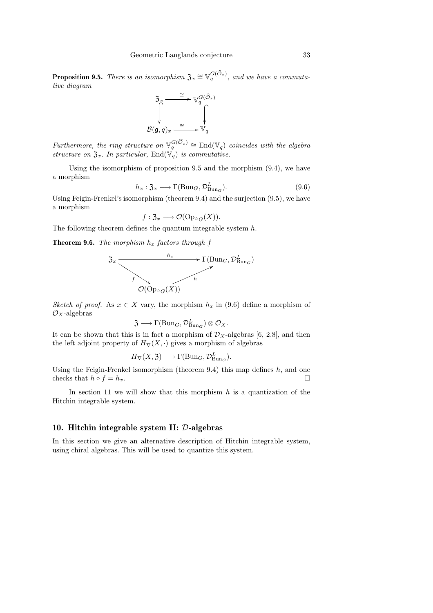**Proposition 9.5.** There is an isomorphism  $\mathfrak{Z}_x \cong \mathbb{V}_q^{G(\widehat{\mathcal{O}}_x)}$ , and we have a commutative diagram



Furthermore, the ring structure on  $\mathbb{V}_q^{G(\widehat{\mathcal{O}}_x)} \cong \mathrm{End}(\mathbb{V}_q)$  coincides with the algebra structure on  $\mathfrak{Z}_x$ . In particular, End $(\mathbb{V}_q)$  is commutative.

Using the isomorphism of proposition 9.5 and the morphism (9.4), we have a morphism

$$
h_x: \mathfrak{Z}_x \longrightarrow \Gamma(\text{Bun}_G, \mathcal{D}_{\text{Bun}_G}^L). \tag{9.6}
$$

Using Feigin-Frenkel's isomorphism (theorem 9.4) and the surjection (9.5), we have a morphism

$$
f: \mathfrak{Z}_x \longrightarrow \mathcal{O}(\mathrm{Op}_{L}_G(X)).
$$

The following theorem defines the quantum integrable system  $h$ .

**Theorem 9.6.** The morphism  $h_x$  factors through f



Sketch of proof. As  $x \in X$  vary, the morphism  $h_x$  in (9.6) define a morphism of  $\mathcal{O}_X$ -algebras

$$
\mathfrak{Z} \longrightarrow \Gamma(\mathrm{Bun}_G, \mathcal{D}^L_{\mathrm{Bun}_G}) \otimes \mathcal{O}_X.
$$

It can be shown that this is in fact a morphism of  $\mathcal{D}_X$ -algebras [6, 2.8], and then the left adjoint property of  $H_{\nabla}(X, \cdot)$  gives a morphism of algebras

$$
H_{\nabla}(X, \mathfrak{Z}) \longrightarrow \Gamma(\text{Bun}_G, \mathcal{D}_{\text{Bun}_G}^L).
$$

Using the Feigin-Frenkel isomorphism (theorem 9.4) this map defines  $h$ , and one checks that  $h \circ f = h_x$ .

In section 11 we will show that this morphism  $h$  is a quantization of the Hitchin integrable system.

## 10. Hitchin integrable system II: D-algebras

In this section we give an alternative description of Hitchin integrable system, using chiral algebras. This will be used to quantize this system.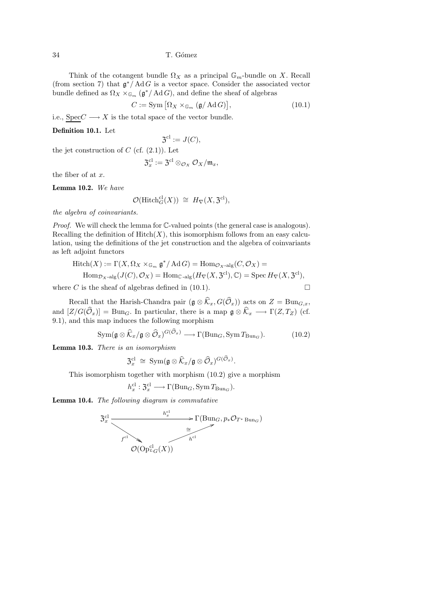34 T. G´omez

Think of the cotangent bundle  $\Omega_X$  as a principal  $\mathbb{G}_m$ -bundle on X. Recall (from section 7) that  $\mathfrak{g}^*/\mathrm{Ad}G$  is a vector space. Consider the associated vector bundle defined as  $\Omega_X \times_{\mathbb{G}_m} (\mathfrak{g}^*/\mathrm{Ad} G)$ , and define the sheaf of algebras

> $C := \text{Sym} \left[ \Omega_X \times_{\mathbb{G}_m} (\mathfrak{g}/\operatorname{Ad} G) \right]$  $(10.1)$

i.e.,  $Spec C \longrightarrow X$  is the total space of the vector bundle.

#### Definition 10.1. Let

$$
\mathfrak{Z}^{\mathrm{cl}} := J(C),
$$

the jet construction of  $C$  (cf.  $(2.1)$ ). Let

$$
\mathfrak{Z}_x^{\mathrm{cl}}:=\mathfrak{Z}^{\mathrm{cl}}\otimes_{\mathcal{O}_X}\mathcal{O}_X/\mathfrak{m}_x,
$$

the fiber of at x.

Lemma 10.2. We have

$$
\mathcal{O}(\mathrm{Hitch}_G^{\mathrm{cl}}(X)) \cong H_{\nabla}(X, \mathfrak{Z}^{\mathrm{cl}}),
$$

the algebra of coinvariants.

Proof. We will check the lemma for  $\mathbb{C}\text{-valued points}$  (the general case is analogous). Recalling the definition of  $\text{Hitch}(X)$ , this isomorphism follows from an easy calculation, using the definitions of the jet construction and the algebra of coinvariants as left adjoint functors

$$
\begin{aligned} \text{Hitch}(X) &:= \Gamma(X, \Omega_X \times_{\mathbb{G}_m} \mathfrak{g}^* / \operatorname{Ad} G) = \text{Hom}_{\mathcal{O}_X \text{-alg}}(C, \mathcal{O}_X) = \\ \text{Hom}_{\mathcal{D}_X \text{-alg}}(J(C), \mathcal{O}_X) &= \text{Hom}_{\mathbb{C} \text{-alg}}(H_{\nabla}(X, \mathfrak{Z}^{\text{cl}}), \mathbb{C}) = \operatorname{Spec} H_{\nabla}(X, \mathfrak{Z}^{\text{cl}}), \end{aligned}
$$

where C is the sheaf of algebras defined in (10.1).

Recall that the Harish-Chandra pair  $(\mathfrak{g} \otimes \widehat{K}_x, G(\widehat{O}_x))$  acts on  $Z = \text{Bun}_{G,x}$ , and  $[Z/G(\widehat{O}_x)] = \text{Bun}_G$ . In particular, there is a map  $\mathfrak{g} \otimes \widehat{K}_x \longrightarrow \Gamma(Z, T_Z)$  (cf. 9.1), and this map induces the following morphism

$$
\operatorname{Sym}(\mathfrak{g}\otimes\widehat{K}_x/\mathfrak{g}\otimes\widehat{\mathcal{O}}_x)^{G(\widehat{\mathcal{O}}_x)}\longrightarrow \Gamma(\operatorname{Bun}_G,\operatorname{Sym}T_{\operatorname{Bun}_G}).\tag{10.2}
$$

.

Lemma 10.3. There is an isomorphism

$$
\mathfrak{Z}_x^{\text{cl}}\;\cong\;\text{Sym}(\mathfrak{g}\otimes \widehat{\mathcal{K}}_x/\mathfrak{g}\otimes \widehat{\mathcal{O}}_x)^{G(\widehat{\mathcal{O}}_x)}
$$

This isomorphism together with morphism (10.2) give a morphism

$$
h_x^{\text{cl}}: \mathfrak{Z}_x^{\text{cl}} \longrightarrow \Gamma(\text{Bun}_G, \text{Sym} \, T_{\text{Bun}_G}).
$$

Lemma 10.4. The following diagram is commutative

$$
3_x^{\text{cl}} \xrightarrow{\phantom{a}h_x^{\text{cl}}} \Gamma(\text{Bun}_G, p_*\mathcal{O}_{T^*\text{Bun}_G})
$$
  

$$
\overbrace{\phantom{a^{\text{cl}}}\mathcal{O}(\text{Op}^{\text{cl}}_{L_G}(X))}^{h_x^{\text{cl}}} \longrightarrow \Gamma(\text{Bun}_G, p_*\mathcal{O}_{T^*\text{Bun}_G})
$$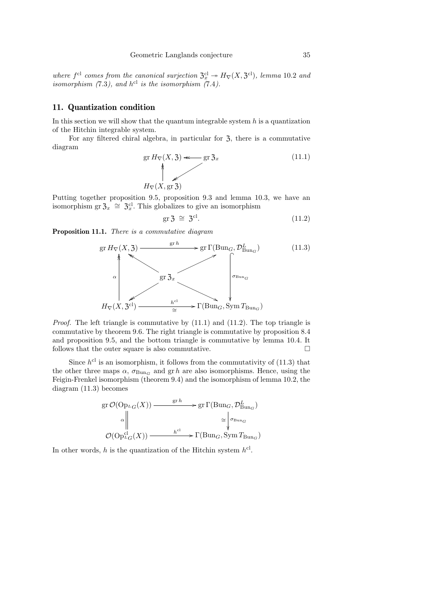where  $f^{\text{cl}}$  comes from the canonical surjection  $\mathfrak{Z}_x^{\text{cl}} \to H_{\nabla}(X, \mathfrak{Z}^{\text{cl}})$ , lemma 10.2 and isomorphism  $(7.3)$ , and  $h^{cl}$  is the isomorphism  $(7.4)$ .

## 11. Quantization condition

In this section we will show that the quantum integrable system  $h$  is a quantization of the Hitchin integrable system.

For any filtered chiral algebra, in particular for  $\mathfrak{Z}$ , there is a commutative diagram

$$
\text{gr } H_{\nabla}(X, \mathfrak{Z}) \Longleftarrow \text{gr } \mathfrak{Z}_x \tag{11.1}
$$
\n
$$
H_{\nabla}(X, \text{gr } \mathfrak{Z}) \tag{11.2}
$$

Putting together proposition 9.5, proposition 9.3 and lemma 10.3, we have an isomorphism gr $\mathfrak{Z}_x \cong \mathfrak{Z}_x^{\text{cl}}$ . This globalizes to give an isomorphism

$$
\text{gr } \mathfrak{Z} \cong \mathfrak{Z}^{\text{cl}}.\tag{11.2}
$$

Proposition 11.1. There is a commutative diagram



Proof. The left triangle is commutative by (11.1) and (11.2). The top triangle is commutative by theorem 9.6. The right triangle is commutative by proposition 8.4 and proposition 9.5, and the bottom triangle is commutative by lemma 10.4. It follows that the outer square is also commutative.  $\Box$ 

Since  $h^{cl}$  is an isomorphism, it follows from the commutativity of  $(11.3)$  that the other three maps  $\alpha$ ,  $\sigma_{BunG}$  and gr h are also isomorphisms. Hence, using the Feigin-Frenkel isomorphism (theorem 9.4) and the isomorphism of lemma 10.2, the diagram (11.3) becomes

$$
\operatorname{gr} \mathcal{O}(\operatorname{Op}_{^L G}(X)) \longrightarrow \operatorname{gr}^h \longrightarrow \operatorname{gr} \Gamma(\operatorname{Bun}_G, \mathcal{D}_{\operatorname{Bun}_G}^L)
$$
  
\n
$$
\alpha \begin{vmatrix} \vdots & \vdots \\ \vdots & \vdots \\ \vdots & \vdots \\ \mathcal{O}(\operatorname{Op}_{^L G}^{cl}(X)) \longrightarrow \end{vmatrix} \cong \begin{vmatrix} \sigma_{\operatorname{Bun}_G} \\ \vdots \\ \vdots \\ \sigma_{\operatorname{Bun}_G} \end{vmatrix}
$$
  
\n
$$
\mathcal{O}(\operatorname{Op}_{^L G}^{cl}(X)) \longrightarrow \operatorname{F}(\operatorname{Bun}_G, \operatorname{Sym} T_{\operatorname{Bun}_G})
$$

In other words, h is the quantization of the Hitchin system  $h^{cl}$ .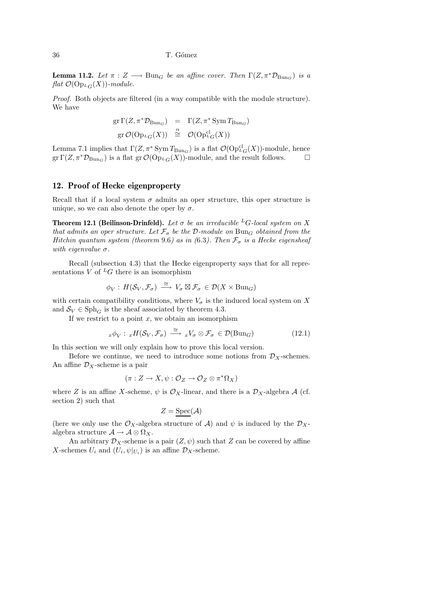#### 36 T. G´omez

**Lemma 11.2.** Let  $\pi : Z \longrightarrow \text{Bun}_G$  be an affine cover. Then  $\Gamma(Z, \pi^* \mathcal{D}_{\text{Bun}_G})$  is a  $flat \ \mathcal{O}(\mathrm{Op}_{L_G}(X))$ -module.

Proof. Both objects are filtered (in a way compatible with the module structure). We have

$$
gr\,\Gamma(Z,\pi^*\mathcal{D}_{\text{Bun}_G}) = \Gamma(Z,\pi^*\,\text{Sym}\,T_{\text{Bun}_G})
$$
  
\n
$$
gr\,\mathcal{O}(\text{Op}_{{}^L G}(X)) \stackrel{\alpha}{\cong} \mathcal{O}(\text{Op}_{{}^L G}^{\text{cl}}(X))
$$

Lemma 7.1 implies that  $\Gamma(Z, \pi^* \text{Sym} T_{\text{Bun}_G})$  is a flat  $\mathcal{O}(\text{Op}^{\text{cl}}_{\text{LG}}(X))$ -module, hence gr  $\Gamma(Z, \pi^* \mathcal{D}_{Bun_G})$  is a flat gr  $\mathcal{O}(\mathrm{Op}_{L}(\mathbb{C}(\mathbb{C})))$ -module, and the result follows.

## 12. Proof of Hecke eigenproperty

Recall that if a local system  $\sigma$  admits an oper structure, this oper structure is unique, so we can also denote the oper by  $\sigma$ .

**Theorem 12.1 (Beilinson-Drinfeld).** Let  $\sigma$  be an irreducible <sup>L</sup>G-local system on X that admits an oper structure. Let  $\mathcal{F}_{\sigma}$  be the D-module on Bun<sub>G</sub> obtained from the Hitchin quantum system (theorem 9.6) as in (6.3). Then  $\mathcal{F}_{\sigma}$  is a Hecke eigensheaf with eigenvalue  $\sigma$ .

Recall (subsection 4.3) that the Hecke eigenproperty says that for all representations V of  ${}^L G$  there is an isomorphism

$$
\phi_V: H(\mathcal{S}_V, \mathcal{F}_\sigma) \stackrel{\cong}{\longrightarrow} V_\sigma \boxtimes \mathcal{F}_\sigma \in \mathcal{D}(X \times \text{Bun}_G)
$$

with certain compatibility conditions, where  $V_{\sigma}$  is the induced local system on X and  $S_V \in \text{Sph}_G$  is the sheaf associated by theorem 4.3.

If we restrict to a point  $x$ , we obtain an isomorphism

$$
{}_x\phi_V: {}_xH(\mathcal{S}_V, \mathcal{F}_\sigma) \xrightarrow{\cong} {}_xV_\sigma \otimes \mathcal{F}_\sigma \in \mathcal{D}(\text{Bun}_G)
$$
\n(12.1)

In this section we will only explain how to prove this local version.

Before we continue, we need to introduce some notions from  $\mathcal{D}_X$ -schemes. An affine  $\mathcal{D}_X$ -scheme is a pair

$$
(\pi: Z \to X, \psi: \mathcal{O}_Z \to \mathcal{O}_Z \otimes \pi^* \Omega_X)
$$

where Z is an affine X-scheme,  $\psi$  is  $\mathcal{O}_X$ -linear, and there is a  $\mathcal{D}_X$ -algebra A (cf. section 2) such that

$$
Z = \text{Spec}(\mathcal{A})
$$

(here we only use the  $\mathcal{O}_X$ -algebra structure of A) and  $\psi$  is induced by the  $\mathcal{D}_X$ algebra structure  $\mathcal{A} \to \mathcal{A} \otimes \Omega_X$ .

An arbitrary  $\mathcal{D}_X$ -scheme is a pair  $(Z, \psi)$  such that Z can be covered by affine X-schemes  $U_i$  and  $(U_i, \psi|_{U_i})$  is an affine  $\mathcal{D}_X$ -scheme.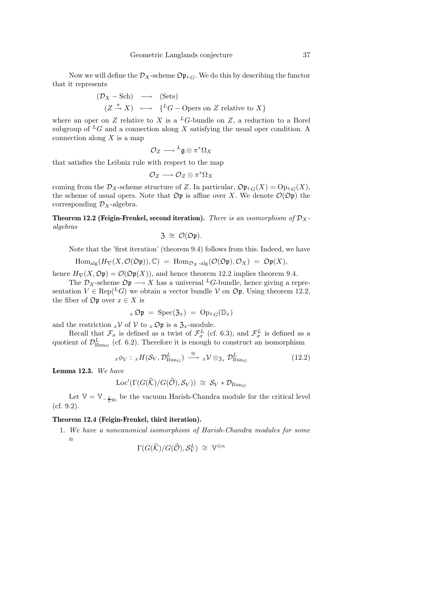Now we will define the  $\mathcal{D}_X$ -scheme  $\mathfrak{Op}_L$ . We do this by describing the functor that it represents

$$
(D_X - Sch) \longrightarrow (Sets)
$$
  

$$
(Z \xrightarrow{\pi} X) \longmapsto \{^L G - \text{Opers on } Z \text{ relative to } X \}
$$

where an oper on Z relative to X is a <sup>L</sup>G-bundle on Z, a reduction to a Borel subgroup of  ${}^L G$  and a connection along X satisfying the usual oper condition. A connection along  $X$  is a map

$$
\mathcal{O}_Z \longrightarrow {}^L\mathfrak{g} \otimes \pi^*\Omega_X
$$

that satisfies the Leibniz rule with respect to the map

$$
\mathcal{O}_Z \longrightarrow \mathcal{O}_Z \otimes \pi^* \Omega_X
$$

coming from the  $\mathcal{D}_X$ -scheme structure of Z. In particular,  $\mathfrak{O} \mathfrak{p}_{L}(\mathcal{X}) = \mathrm{Op}_{L}(\mathcal{X})$ , the scheme of usual opers. Note that  $\mathfrak{Op}$  is affine over X. We denote  $\mathcal{O}(\mathfrak{Op})$  the corresponding  $\mathcal{D}_X$ -algebra.

**Theorem 12.2 (Feigin-Frenkel, second iteration).** There is an isomorphism of  $\mathcal{D}_X$ algebras

$$
\mathfrak{Z} \,\cong\, \mathcal{O}(\mathfrak{Op}).
$$

Note that the 'first iteration' (theorem 9.4) follows from this. Indeed, we have

$$
\mathrm{Hom}_{\mathrm{alg}}(H_{\nabla}(X, \mathcal{O}(\mathfrak{Op})), \mathbb{C}) \; = \; \mathrm{Hom}_{\mathcal{D}_X \text{-alg}}(\mathcal{O}(\mathfrak{Op}), \mathcal{O}_X) \; = \; \mathfrak{Op}(X),
$$

hence  $H_{\nabla}(X, \mathfrak{Op}) = \mathcal{O}(\mathfrak{Op}(X))$ , and hence theorem 12.2 implies theorem 9.4.

The  $\mathcal{D}_X$ -scheme  $\mathcal{D}$  $\mathfrak{p} \longrightarrow X$  has a universal <sup>L</sup>G-bundle, hence giving a representation  $V \in \text{Rep}(^L G)$  we obtain a vector bundle V on  $\mathfrak{Op}$ . Using theorem 12.2, the fiber of  $\mathfrak{Op}$  over  $x \in X$  is

$$
{}_x\mathfrak{Op} = \mathrm{Spec}(\mathfrak{Z}_x) = \mathrm{Op}_{{}^LG}(\mathbb{D}_x)
$$

and the restriction  ${}_{x}\mathcal{V}$  of  $\mathcal{V}$  to  ${}_{x}\mathfrak{O} \mathfrak{p}$  is a  $\mathfrak{Z}_{x}$ -module.

Recall that  $\mathcal{F}_{\sigma}$  is defined as a twist of  $\mathcal{F}_{\sigma}^{L}$  (cf. 6.3), and  $\mathcal{F}_{\sigma}^{L}$  is defined as a quotient of  $\mathcal{D}_{\text{Bun}_G}^L$  (cf. 6.2). Therefore it is enough to construct an isomorphism

$$
{}_x\phi_V: {}_xH(\mathcal{S}_V, \mathcal{D}_{\text{Bun}_G}^L) \stackrel{\cong}{\longrightarrow} {}_x\mathcal{V}\otimes_{\mathfrak{Z}_x}\mathcal{D}_{\text{Bun}_G}^L
$$
\n(12.2)

Lemma 12.3. We have

$$
Loc'(\Gamma(G(\widehat{K})/G(\widehat{O}), S_V)) \cong S_V * \mathcal{D}_{Bun_G}
$$

Let  $\mathbb{V} = \mathbb{V}_{-\frac{1}{2}q_0}$  be the vacuum Harish-Chandra module for the critical level  $(cf. 9.2)$ .

#### Theorem 12.4 (Feigin-Frenkel, third iteration).

1. We have a noncanonical isomorphism of Harish-Chandra modules for some  $\boldsymbol{n}$ 

$$
\Gamma(G(\widehat{\mathcal{K}})/G(\widehat{\mathcal{O}}),\mathcal{S}_V^L) \cong \mathbb{V}^{\oplus n}
$$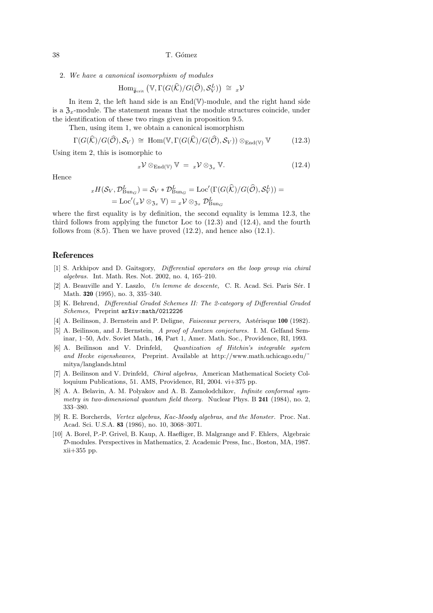38 T. G´omez

2. We have a canonical isomorphism of modules

$$
\mathrm{Hom}_{\widetilde{\mathfrak{g}}_{\mathrm{crit}}}\left(\mathbb{V},\Gamma(G(\widehat{\mathcal{K}})/G(\widehat{\mathcal{O}}),\mathcal{S}_V^L)\right)\;\cong\;{_{x}\mathcal{V}}
$$

In item 2, the left hand side is an  $End(\mathbb{V})$ -module, and the right hand side is a  $\mathfrak{Z}_x$ -module. The statement means that the module structures coincide, under the identification of these two rings given in proposition 9.5.

Then, using item 1, we obtain a canonical isomorphism

$$
\Gamma(G(\widehat{\mathcal{K}})/G(\widehat{\mathcal{O}}),\mathcal{S}_V) \cong \text{Hom}(\mathbb{V}, \Gamma(G(\widehat{\mathcal{K}})/G(\widehat{\mathcal{O}}),\mathcal{S}_V)) \otimes_{\text{End}(\mathbb{V})} \mathbb{V} \tag{12.3}
$$

Using item 2, this is isomorphic to

$$
x\mathcal{V}\otimes_{\mathrm{End}(\mathbb{V})}\mathbb{V} = x\mathcal{V}\otimes_{\mathfrak{Z}_x}\mathbb{V}.
$$
 (12.4)

Hence

$$
{}_{x}H(S_{V}, \mathcal{D}_{\text{Bun}_G}^{L}) = S_{V} * \mathcal{D}_{\text{Bun}_G}^{L} = \text{Loc}'(\Gamma(G(\widehat{K})/G(\widehat{O}), S_{V}^{L})) = \\ = \text{Loc}'( {}_{x}V \otimes_{\mathfrak{Z}_{x}} V) = {}_{x}V \otimes_{\mathfrak{Z}_{x}} \mathcal{D}_{\text{Bun}_G}^{L}
$$

where the first equality is by definition, the second equality is lemma 12.3, the third follows from applying the functor Loc to  $(12.3)$  and  $(12.4)$ , and the fourth follows from  $(8.5)$ . Then we have proved  $(12.2)$ , and hence also  $(12.1)$ .

## References

- [1] S. Arkhipov and D. Gaitsgory, *Differential operators on the loop group via chiral algebras.* Int. Math. Res. Not. 2002, no. 4, 165–210.
- [2] A. Beauville and Y. Laszlo, *Un lemme de descente*, C. R. Acad. Sci. Paris Sér. I Math. 320 (1995), no. 3, 335–340.
- [3] K. Behrend, *Differential Graded Schemes II: The 2-category of Differential Graded Schemes,* Preprint arXiv:math/0212226
- [4] A. Beilinson, J. Bernstein and P. Deligne, *Faisceaux pervers*, Astérisque 100 (1982).
- [5] A. Beilinson, and J. Bernstein, *A proof of Jantzen conjectures.* I. M. Gelfand Seminar, 1–50, Adv. Soviet Math., 16, Part 1, Amer. Math. Soc., Providence, RI, 1993.
- [6] A. Beilinson and V. Drinfeld, *Quantization of Hitchin's integrable system and Hecke eigensheaves,* Preprint. Available at http://www.math.uchicago.edu/˜ mitya/langlands.html
- [7] A. Beilinson and V. Drinfeld, *Chiral algebras,* American Mathematical Society Colloquium Publications, 51. AMS, Providence, RI, 2004. vi+375 pp.
- [8] A. A. Belavin, A. M. Polyakov and A. B. Zamolodchikov, *Infinite conformal symmetry in two-dimensional quantum field theory.* Nuclear Phys. B 241 (1984), no. 2, 333–380.
- [9] R. E. Borcherds, *Vertex algebras, Kac-Moody algebras, and the Monster.* Proc. Nat. Acad. Sci. U.S.A. 83 (1986), no. 10, 3068–3071.
- [10] A. Borel, P.-P. Grivel, B. Kaup, A. Haefliger, B. Malgrange and F. Ehlers, Algebraic D-modules. Perspectives in Mathematics, 2. Academic Press, Inc., Boston, MA, 1987. xii+355 pp.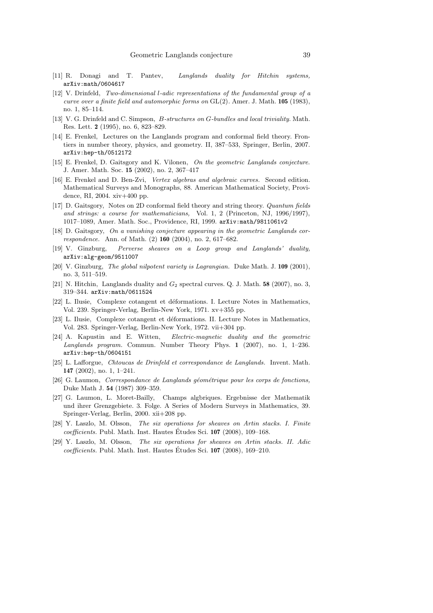- [11] R. Donagi and T. Pantev, *Langlands duality for Hitchin systems,* arXiv:math/0604617
- [12] V. Drinfeld, *Two-dimensional* l*-adic representations of the fundamental group of a curve over a finite field and automorphic forms on* GL(2)*.* Amer. J. Math. 105 (1983), no. 1, 85–114.
- [13] V. G. Drinfeld and C. Simpson, B*-structures on* G*-bundles and local triviality.* Math. Res. Lett. 2 (1995), no. 6, 823–829.
- [14] E. Frenkel, Lectures on the Langlands program and conformal field theory. Frontiers in number theory, physics, and geometry. II, 387–533, Springer, Berlin, 2007. arXiv:hep-th/0512172
- [15] E. Frenkel, D. Gaitsgory and K. Vilonen, *On the geometric Langlands conjecture.* J. Amer. Math. Soc. 15 (2002), no. 2, 367–417
- [16] E. Frenkel and D. Ben-Zvi, *Vertex algebras and algebraic curves.* Second edition. Mathematical Surveys and Monographs, 88. American Mathematical Society, Providence, RI, 2004. xiv+400 pp.
- [17] D. Gaitsgory, Notes on 2D conformal field theory and string theory. *Quantum fields and strings: a course for mathematicians,* Vol. 1, 2 (Princeton, NJ, 1996/1997), 1017–1089, Amer. Math. Soc., Providence, RI, 1999. arXiv:math/9811061v2
- [18] D. Gaitsgory, *On a vanishing conjecture appearing in the geometric Langlands correspondence.* Ann. of Math. (2) 160 (2004), no. 2, 617–682.
- [19] V. Ginzburg, *Perverse sheaves on a Loop group and Langlands' duality,* arXiv:alg-geom/9511007
- [20] V. Ginzburg, *The global nilpotent variety is Lagrangian.* Duke Math. J. 109 (2001), no. 3, 511–519.
- [21] N. Hitchin, Langlands duality and  $G_2$  spectral curves. Q. J. Math. 58 (2007), no. 3, 319–344. arXiv:math/0611524
- [22] L. Ilusie, Complexe cotangent et déformations. I. Lecture Notes in Mathematics, Vol. 239. Springer-Verlag, Berlin-New York, 1971. xv+355 pp.
- [23] L. Ilusie, Complexe cotangent et déformations. II. Lecture Notes in Mathematics, Vol. 283. Springer-Verlag, Berlin-New York, 1972. vii+304 pp.
- [24] A. Kapustin and E. Witten, *Electric-magnetic duality and the geometric Langlands program.* Commun. Number Theory Phys. 1 (2007), no. 1, 1–236. arXiv:hep-th/0604151
- [25] L. Lafforgue, *Chtoucas de Drinfeld et correspondance de Langlands.* Invent. Math. 147 (2002), no. 1, 1–241.
- [26] G. Laumon, *Correspondance de Langlands géométrique pour les corps de fonctions*, Duke Math J. 54 (1987) 309–359.
- [27] G. Laumon, L. Moret-Bailly, Champs algbriques. Ergebnisse der Mathematik und ihrer Grenzgebiete. 3. Folge. A Series of Modern Surveys in Mathematics, 39. Springer-Verlag, Berlin, 2000. xii+208 pp.
- [28] Y. Laszlo, M. Olsson, *The six operations for sheaves on Artin stacks. I. Finite coefficients.* Publ. Math. Inst. Hautes Études Sci. 107 (2008), 109–168.
- [29] Y. Laszlo, M. Olsson, *The six operations for sheaves on Artin stacks. II. Adic coefficients.* Publ. Math. Inst. Hautes Études Sci. 107 (2008), 169–210.